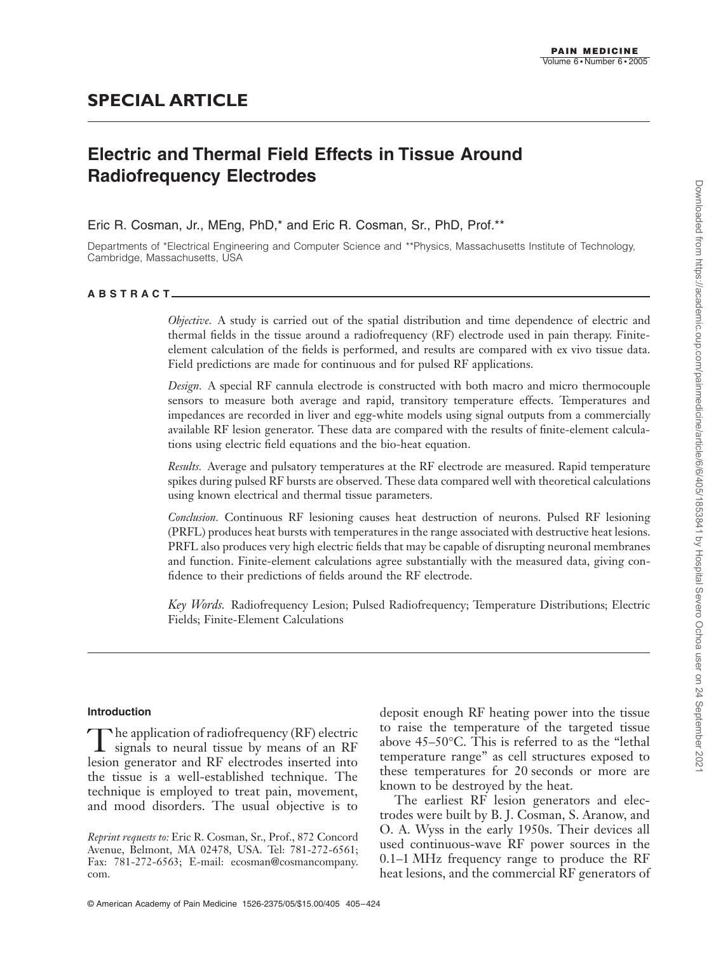## **SPECIAL ARTICLE**

# **Electric and Thermal Field Effects in Tissue Around Radiofrequency Electrodes**

Eric R. Cosman, Jr., MEng, PhD,\* and Eric R. Cosman, Sr., PhD, Prof.\*\*

Departments of \*Electrical Engineering and Computer Science and \*\*Physics, Massachusetts Institute of Technology, Cambridge, Massachusetts, USA

## **ABSTRACT**

**Abstract** *Objective.* A study is carried out of the spatial distribution and time dependence of electric and thermal fields in the tissue around a radiofrequency (RF) electrode used in pain therapy. Finiteelement calculation of the fields is performed, and results are compared with ex vivo tissue data. Field predictions are made for continuous and for pulsed RF applications.

*Design.* A special RF cannula electrode is constructed with both macro and micro thermocouple sensors to measure both average and rapid, transitory temperature effects. Temperatures and impedances are recorded in liver and egg-white models using signal outputs from a commercially available RF lesion generator. These data are compared with the results of finite-element calculations using electric field equations and the bio-heat equation.

*Results.* Average and pulsatory temperatures at the RF electrode are measured. Rapid temperature spikes during pulsed RF bursts are observed. These data compared well with theoretical calculations using known electrical and thermal tissue parameters.

*Conclusion.* Continuous RF lesioning causes heat destruction of neurons. Pulsed RF lesioning (PRFL) produces heat bursts with temperatures in the range associated with destructive heat lesions. PRFL also produces very high electric fields that may be capable of disrupting neuronal membranes and function. Finite-element calculations agree substantially with the measured data, giving confidence to their predictions of fields around the RF electrode.

*Key Words.* Radiofrequency Lesion; Pulsed Radiofrequency; Temperature Distributions; Electric Fields; Finite-Element Calculations

## **Introduction**

he application of radiofrequency (RF) electric signals to neural tissue by means of an RF The application of radiofrequency (RF) electric<br>signals to neural tissue by means of an RF<br>lesion generator and RF electrodes inserted into the tissue is a well-established technique. The technique is employed to treat pain, movement, and mood disorders. The usual objective is to

*Reprint requests to:* Eric R. Cosman, Sr., Prof., 872 Concord Avenue, Belmont, MA 02478, USA. Tel: 781-272-6561; Fax: 781-272-6563; E-mail: ecosman@cosmancompany. com.

deposit enough RF heating power into the tissue to raise the temperature of the targeted tissue above 45–50°C. This is referred to as the "lethal temperature range" as cell structures exposed to these temperatures for 20 seconds or more are known to be destroyed by the heat.

The earliest RF lesion generators and electrodes were built by B. J. Cosman, S. Aranow, and O. A. Wyss in the early 1950s. Their devices all used continuous-wave RF power sources in the 0.1–1 MHz frequency range to produce the RF heat lesions, and the commercial RF generators of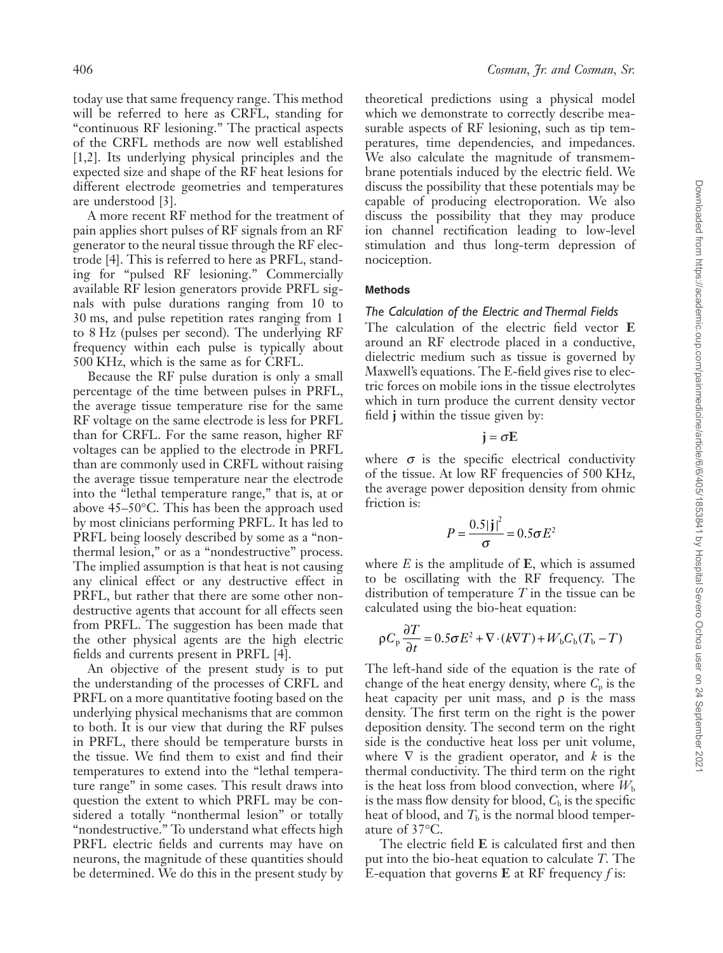today use that same frequency range. This method will be referred to here as CRFL, standing for "continuous RF lesioning." The practical aspects of the CRFL methods are now well established [1,2]. Its underlying physical principles and the expected size and shape of the RF heat lesions for different electrode geometries and temperatures are understood [3].

A more recent RF method for the treatment of pain applies short pulses of RF signals from an RF generator to the neural tissue through the RF electrode [4]. This is referred to here as PRFL, standing for "pulsed RF lesioning." Commercially available RF lesion generators provide PRFL signals with pulse durations ranging from 10 to 30 ms, and pulse repetition rates ranging from 1 to 8 Hz (pulses per second). The underlying RF frequency within each pulse is typically about 500 KHz, which is the same as for CRFL.

Because the RF pulse duration is only a small percentage of the time between pulses in PRFL, the average tissue temperature rise for the same RF voltage on the same electrode is less for PRFL than for CRFL. For the same reason, higher RF voltages can be applied to the electrode in PRFL than are commonly used in CRFL without raising the average tissue temperature near the electrode into the "lethal temperature range," that is, at or above 45–50°C. This has been the approach used by most clinicians performing PRFL. It has led to PRFL being loosely described by some as a "nonthermal lesion," or as a "nondestructive" process. The implied assumption is that heat is not causing any clinical effect or any destructive effect in PRFL, but rather that there are some other nondestructive agents that account for all effects seen from PRFL. The suggestion has been made that the other physical agents are the high electric fields and currents present in PRFL [4].

An objective of the present study is to put the understanding of the processes of CRFL and PRFL on a more quantitative footing based on the underlying physical mechanisms that are common to both. It is our view that during the RF pulses in PRFL, there should be temperature bursts in the tissue. We find them to exist and find their temperatures to extend into the "lethal temperature range" in some cases. This result draws into question the extent to which PRFL may be considered a totally "nonthermal lesion" or totally "nondestructive." To understand what effects high PRFL electric fields and currents may have on neurons, the magnitude of these quantities should be determined. We do this in the present study by

theoretical predictions using a physical model which we demonstrate to correctly describe measurable aspects of RF lesioning, such as tip temperatures, time dependencies, and impedances. We also calculate the magnitude of transmembrane potentials induced by the electric field. We discuss the possibility that these potentials may be capable of producing electroporation. We also discuss the possibility that they may produce ion channel rectification leading to low-level stimulation and thus long-term depression of nociception.

#### **Methods**

#### *The Calculation of the Electric and Thermal Fields*

The calculation of the electric field vector **E** around an RF electrode placed in a conductive, dielectric medium such as tissue is governed by Maxwell's equations. The E-field gives rise to electric forces on mobile ions in the tissue electrolytes which in turn produce the current density vector field **j** within the tissue given by:

$$
j = \sigma E
$$

where  $\sigma$  is the specific electrical conductivity of the tissue. At low RF frequencies of 500 KHz, the average power deposition density from ohmic friction is:

$$
P = \frac{0.5|\mathbf{j}|^2}{\sigma} = 0.5\sigma E^2
$$

where  $E$  is the amplitude of  $E$ , which is assumed to be oscillating with the RF frequency. The distribution of temperature *T* in the tissue can be calculated using the bio-heat equation:

$$
\rho C_{\rm p} \frac{\partial T}{\partial t} = 0.5 \sigma E^2 + \nabla \cdot (k \nabla T) + W_{\rm b} C_{\rm b} (T_{\rm b} - T)
$$

The left-hand side of the equation is the rate of change of the heat energy density, where  $C_p$  is the heat capacity per unit mass, and  $\rho$  is the mass density. The first term on the right is the power deposition density. The second term on the right side is the conductive heat loss per unit volume, where ∇ is the gradient operator, and *k* is the thermal conductivity. The third term on the right is the heat loss from blood convection, where  $W<sub>b</sub>$ is the mass flow density for blood,  $C<sub>b</sub>$  is the specific heat of blood, and  $T<sub>b</sub>$  is the normal blood temperature of 37°C.

The electric field **E** is calculated first and then put into the bio-heat equation to calculate *T*. The E-equation that governs **E** at RF frequency *f* is: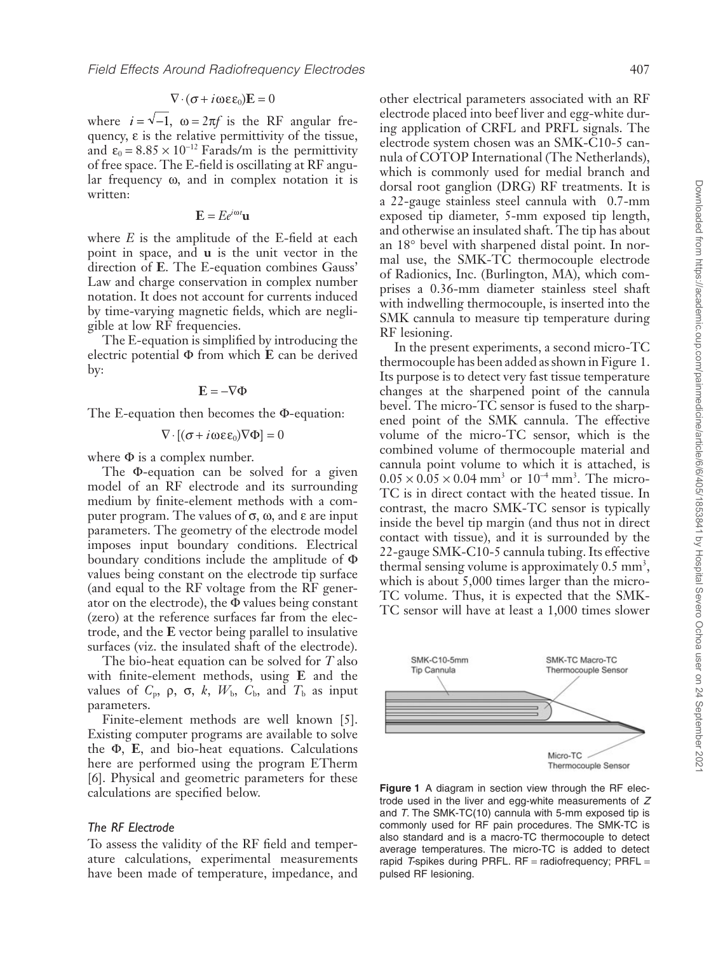## $abla$  · (σ + *i*ωεε<sub>0</sub>)**E** = 0

where  $i = \sqrt{-1}$ ,  $\omega = 2\pi f$  is the RF angular frequency,  $\varepsilon$  is the relative permittivity of the tissue, and  $\varepsilon_0 = 8.85 \times 10^{-12}$  Farads/m is the permittivity of free space. The E-field is oscillating at RF angular frequency ω, and in complex notation it is written:

$$
\mathbf{E}=E e^{i\omega t}\mathbf{u}
$$

where *E* is the amplitude of the E-field at each point in space, and **u** is the unit vector in the direction of **E**. The E-equation combines Gauss' Law and charge conservation in complex number notation. It does not account for currents induced by time-varying magnetic fields, which are negligible at low RF frequencies.

The E-equation is simplified by introducing the electric potential Φ from which **E** can be derived by:

#### $E = -\nabla \Phi$

The E-equation then becomes the Φ-equation:

$$
\nabla \cdot [(\sigma + i \omega \varepsilon \varepsilon_0) \nabla \Phi] = 0
$$

where  $\Phi$  is a complex number.

The Φ-equation can be solved for a given model of an RF electrode and its surrounding medium by finite-element methods with a computer program. The values of σ, ω, and ε are input parameters. The geometry of the electrode model imposes input boundary conditions. Electrical boundary conditions include the amplitude of Φ values being constant on the electrode tip surface (and equal to the RF voltage from the RF generator on the electrode), the  $\Phi$  values being constant (zero) at the reference surfaces far from the electrode, and the **E** vector being parallel to insulative surfaces (viz. the insulated shaft of the electrode).

The bio-heat equation can be solved for *T* also with finite-element methods, using **E** and the values of  $C_p$ ,  $\rho$ ,  $\sigma$ ,  $k$ ,  $W_b$ ,  $C_b$ , and  $T_b$  as input parameters.

Finite-element methods are well known [5]. Existing computer programs are available to solve the Φ, **E**, and bio-heat equations. Calculations here are performed using the program ETherm [6]. Physical and geometric parameters for these calculations are specified below.

#### *The RF Electrode*

To assess the validity of the RF field and temperature calculations, experimental measurements have been made of temperature, impedance, and

other electrical parameters associated with an RF electrode placed into beef liver and egg-white during application of CRFL and PRFL signals. The electrode system chosen was an SMK-C10-5 cannula of COTOP International (The Netherlands), which is commonly used for medial branch and dorsal root ganglion (DRG) RF treatments. It is a 22-gauge stainless steel cannula with 0.7-mm exposed tip diameter, 5-mm exposed tip length, and otherwise an insulated shaft. The tip has about an 18° bevel with sharpened distal point. In normal use, the SMK-TC thermocouple electrode of Radionics, Inc. (Burlington, MA), which comprises a 0.36-mm diameter stainless steel shaft with indwelling thermocouple, is inserted into the SMK cannula to measure tip temperature during RF lesioning.

In the present experiments, a second micro-TC thermocouple has been added as shown in Figure 1. Its purpose is to detect very fast tissue temperature changes at the sharpened point of the cannula bevel. The micro-TC sensor is fused to the sharpened point of the SMK cannula. The effective volume of the micro-TC sensor, which is the combined volume of thermocouple material and cannula point volume to which it is attached, is  $0.05 \times 0.05 \times 0.04$  mm<sup>3</sup> or  $10^{-4}$  mm<sup>3</sup>. The micro-TC is in direct contact with the heated tissue. In contrast, the macro SMK-TC sensor is typically inside the bevel tip margin (and thus not in direct contact with tissue), and it is surrounded by the 22-gauge SMK-C10-5 cannula tubing. Its effective thermal sensing volume is approximately  $0.5 \text{ mm}^3$ , which is about 5,000 times larger than the micro-TC volume. Thus, it is expected that the SMK-TC sensor will have at least a 1,000 times slower



**Figure 1** A diagram in section view through the RF electrode used in the liver and egg-white measurements of *Z* and *T*. The SMK-TC(10) cannula with 5-mm exposed tip is commonly used for RF pain procedures. The SMK-TC is also standard and is a macro-TC thermocouple to detect average temperatures. The micro-TC is added to detect rapid *T*-spikes during PRFL. RF = radiofrequency; PRFL = pulsed RF lesioning.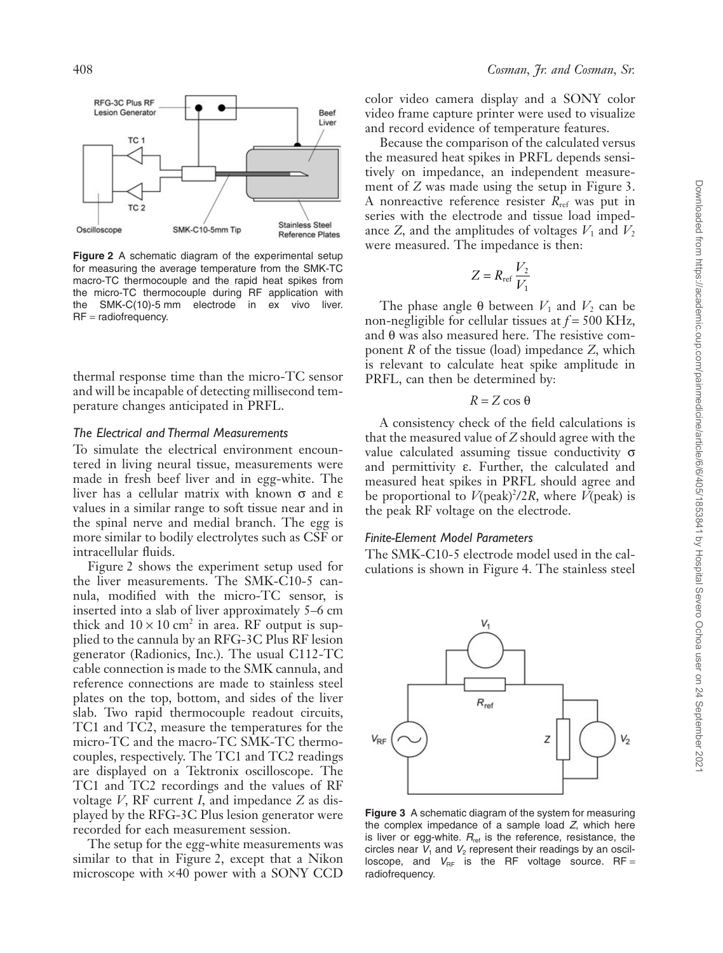

**Figure 2** A schematic diagram of the experimental setup for measuring the average temperature from the SMK-TC macro-TC thermocouple and the rapid heat spikes from the micro-TC thermocouple during RF application with the SMK-C(10)-5 mm electrode in ex vivo liver.  $RF = radiof frequency$ .

thermal response time than the micro-TC sensor and will be incapable of detecting millisecond temperature changes anticipated in PRFL.

#### *The Electrical and Thermal Measurements*

To simulate the electrical environment encountered in living neural tissue, measurements were made in fresh beef liver and in egg-white. The liver has a cellular matrix with known σ and ε values in a similar range to soft tissue near and in the spinal nerve and medial branch. The egg is more similar to bodily electrolytes such as CSF or intracellular fluids.

Figure 2 shows the experiment setup used for the liver measurements. The SMK-C10-5 cannula, modified with the micro-TC sensor, is inserted into a slab of liver approximately 5–6 cm thick and  $10 \times 10$  cm<sup>2</sup> in area. RF output is supplied to the cannula by an RFG-3C Plus RF lesion generator (Radionics, Inc.). The usual C112-TC cable connection is made to the SMK cannula, and reference connections are made to stainless steel plates on the top, bottom, and sides of the liver slab. Two rapid thermocouple readout circuits, TC1 and TC2, measure the temperatures for the micro-TC and the macro-TC SMK-TC thermocouples, respectively. The TC1 and TC2 readings are displayed on a Tektronix oscilloscope. The TC1 and TC2 recordings and the values of RF voltage *V*, RF current *I*, and impedance *Z* as displayed by the RFG-3C Plus lesion generator were recorded for each measurement session.

The setup for the egg-white measurements was similar to that in Figure 2, except that a Nikon microscope with ×40 power with a SONY CCD

color video camera display and a SONY color video frame capture printer were used to visualize and record evidence of temperature features.

Because the comparison of the calculated versus the measured heat spikes in PRFL depends sensitively on impedance, an independent measurement of *Z* was made using the setup in Figure 3. A nonreactive reference resister *R*ref was put in series with the electrode and tissue load impedance *Z*, and the amplitudes of voltages  $V_1$  and  $V_2$ were measured. The impedance is then:

$$
Z = R_{\text{ref}} \frac{V_2}{V_1}
$$

The phase angle  $\theta$  between  $V_1$  and  $V_2$  can be non-negligible for cellular tissues at  $f = 500$  KHz, and θ was also measured here. The resistive component *R* of the tissue (load) impedance *Z*, which is relevant to calculate heat spike amplitude in PRFL, can then be determined by:

#### *R* = *Z* cos θ

A consistency check of the field calculations is that the measured value of *Z* should agree with the value calculated assuming tissue conductivity σ and permittivity ε. Further, the calculated and measured heat spikes in PRFL should agree and be proportional to  $V(\text{peak})^2/2R$ , where  $V(\text{peak})$  is the peak RF voltage on the electrode.

## *Finite-Element Model Parameters*

The SMK-C10-5 electrode model used in the calculations is shown in Figure 4. The stainless steel



**Figure 3** A schematic diagram of the system for measuring the complex impedance of a sample load *Z*, which here is liver or egg-white.  $R_{ref}$  is the reference, resistance, the circles near  $V_1$  and  $V_2$  represent their readings by an oscilloscope, and  $V_{RF}$  is the RF voltage source. RF = radiofrequency.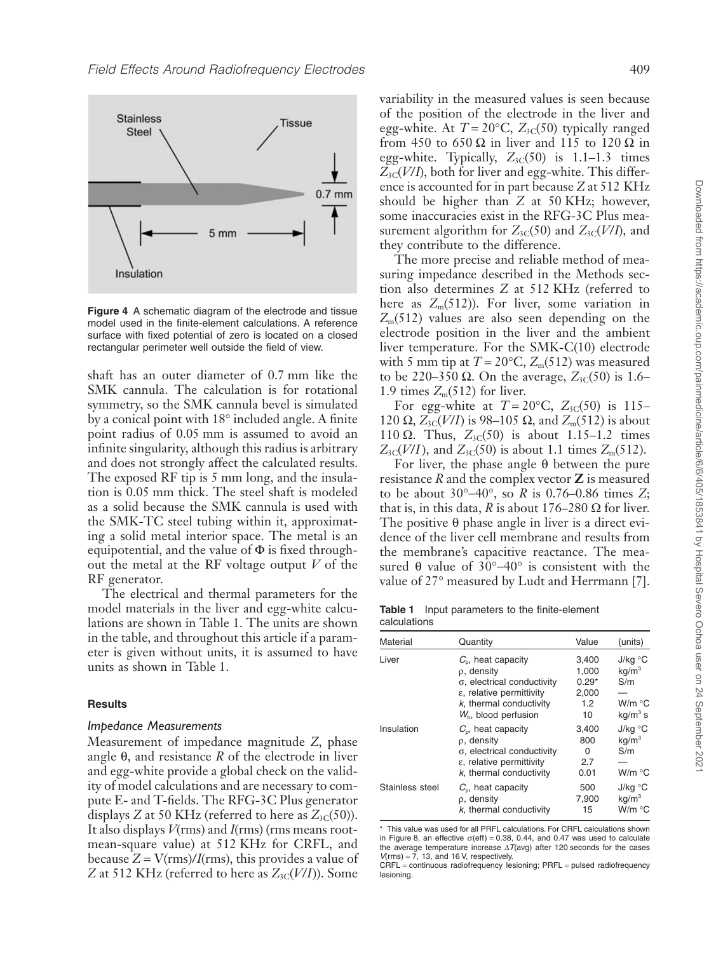

**Figure 4** A schematic diagram of the electrode and tissue model used in the finite-element calculations. A reference surface with fixed potential of zero is located on a closed rectangular perimeter well outside the field of view.

shaft has an outer diameter of 0.7 mm like the SMK cannula. The calculation is for rotational symmetry, so the SMK cannula bevel is simulated by a conical point with 18° included angle. A finite point radius of 0.05 mm is assumed to avoid an infinite singularity, although this radius is arbitrary and does not strongly affect the calculated results. The exposed RF tip is 5 mm long, and the insulation is 0.05 mm thick. The steel shaft is modeled as a solid because the SMK cannula is used with the SMK-TC steel tubing within it, approximating a solid metal interior space. The metal is an equipotential, and the value of  $\Phi$  is fixed throughout the metal at the RF voltage output *V* of the RF generator.

The electrical and thermal parameters for the model materials in the liver and egg-white calculations are shown in Table 1. The units are shown in the table, and throughout this article if a parameter is given without units, it is assumed to have units as shown in Table 1.

#### **Results**

#### *Impedance Measurements*

Measurement of impedance magnitude *Z*, phase angle  $θ$ , and resistance *R* of the electrode in liver and egg-white provide a global check on the validity of model calculations and are necessary to compute E- and T-fields. The RFG-3C Plus generator displays *Z* at 50 KHz (referred to here as  $Z_{3C}(50)$ ). It also displays *V*(rms) and *I*(rms) (rms means rootmean-square value) at 512 KHz for CRFL, and because  $Z = V(rms)/I(rms)$ , this provides a value of *Z* at 512 KHz (referred to here as  $Z_{3C}(V/I)$ ). Some

variability in the measured values is seen because of the position of the electrode in the liver and egg-white. At  $T = 20^{\circ}$ C,  $Z_{3C}(50)$  typically ranged from 450 to 650  $\Omega$  in liver and 115 to 120  $\Omega$  in egg-white. Typically,  $Z_{3C}(50)$  is 1.1–1.3 times  $Z_{3C}(V/I)$ , both for liver and egg-white. This difference is accounted for in part because *Z* at 512 KHz should be higher than *Z* at 50 KHz; however, some inaccuracies exist in the RFG-3C Plus measurement algorithm for  $Z_{3C}(50)$  and  $Z_{3C}(V/I)$ , and they contribute to the difference.

The more precise and reliable method of measuring impedance described in the Methods section also determines *Z* at 512 KHz (referred to here as  $Z_m(512)$ ). For liver, some variation in *Z*m(512) values are also seen depending on the electrode position in the liver and the ambient liver temperature. For the SMK-C(10) electrode with 5 mm tip at  $T = 20$ °C,  $Z_m(512)$  was measured to be 220–350 Ω. On the average,  $Z_{3C}(50)$  is 1.6– 1.9 times  $Z_m(512)$  for liver.

For egg-white at  $T = 20^{\circ}C$ ,  $Z_{3C}(50)$  is 115– 120 Ω,  $Z_{3C}(V/I)$  is 98–105 Ω, and  $Z_{m}(512)$  is about 110 Ω. Thus,  $Z_{3C}(50)$  is about 1.15–1.2 times  $Z_{3C}(V/I)$ , and  $Z_{3C}(50)$  is about 1.1 times  $Z_{m}(512)$ .

For liver, the phase angle  $\theta$  between the pure resistance *R* and the complex vector **Z** is measured to be about 30°−40°, so *R* is 0.76–0.86 times *Z*; that is, in this data, *R* is about 176–280 Ω for liver. The positive  $\theta$  phase angle in liver is a direct evidence of the liver cell membrane and results from the membrane's capacitive reactance. The measured θ value of 30°–40° is consistent with the value of 27° measured by Ludt and Herrmann [7].

**Table 1** Input parameters to the finite-element calculations

| Material                                                                                                                                                                          | Quantity                                                                                                                                                                          | Value                                           | (units)                                                              |
|-----------------------------------------------------------------------------------------------------------------------------------------------------------------------------------|-----------------------------------------------------------------------------------------------------------------------------------------------------------------------------------|-------------------------------------------------|----------------------------------------------------------------------|
| Liver<br>$C_{\rm o}$ , heat capacity<br>p, density<br>σ, electrical conductivity<br>$\varepsilon$ , relative permittivity<br>$k$ , thermal conductivity<br>$Wb$ , blood perfusion |                                                                                                                                                                                   | 3,400<br>1,000<br>$0.29*$<br>2,000<br>1.2<br>10 | J/kg °C<br>kg/m <sup>3</sup><br>S/m<br>W/m °C<br>kg/m <sup>3</sup> s |
| Insulation                                                                                                                                                                        | $C_{\scriptscriptstyle{\Omega}}$ , heat capacity<br>$\rho$ , density<br>$\sigma$ , electrical conductivity<br>$\varepsilon$ , relative permittivity<br>$k$ , thermal conductivity | 3,400<br>800<br>0<br>2.7<br>0.01                | J/kg °C<br>kg/m <sup>3</sup><br>S/m<br>W/m °C                        |
| Stainless steel                                                                                                                                                                   | $C_{0}$ , heat capacity<br>p, density<br>$k$ , thermal conductivity                                                                                                               | 500<br>7,900<br>15                              | J/kg °C<br>$\rm k g/m^3$<br>W/m °C                                   |

\* This value was used for all PRFL calculations. For CRFL calculations shown in Figure 8, an effective  $\sigma$ (eff) = 0.38, 0.44, and 0.47 was used to calculate the average temperature increase ∆*T*(avg) after 120 seconds for the cases  $V(rms) = 7$ , 13, and 16 V, respectively.

CRFL = continuous radiofrequency lesioning; PRFL = pulsed radiofrequency lesioning.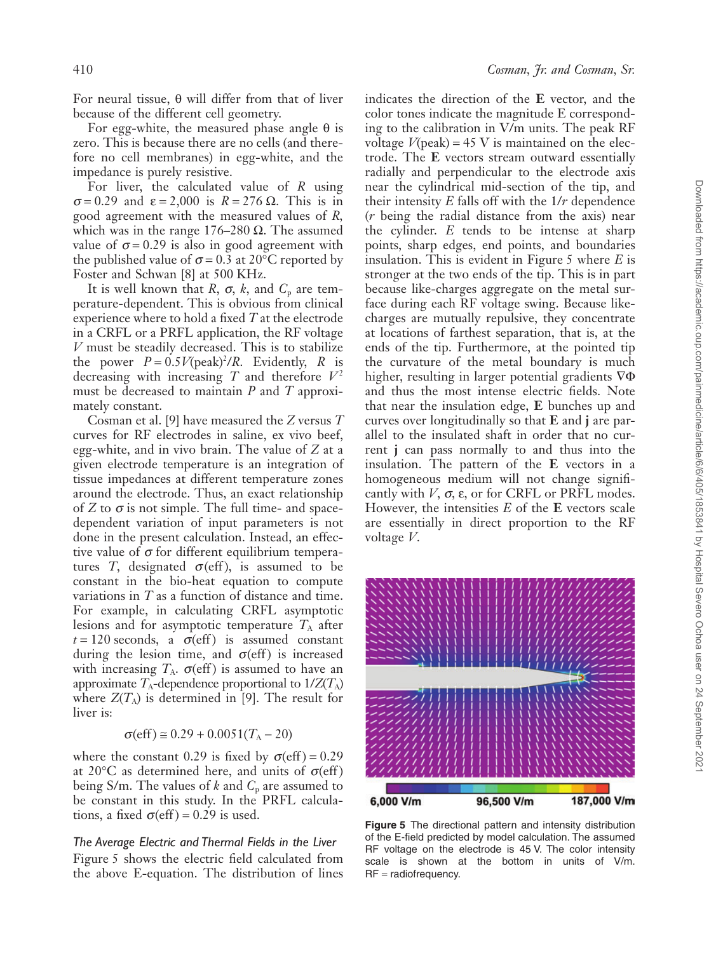For neural tissue, θ will differ from that of liver because of the different cell geometry.

For egg-white, the measured phase angle  $\theta$  is zero. This is because there are no cells (and therefore no cell membranes) in egg-white, and the impedance is purely resistive.

For liver, the calculated value of *R* using  $\sigma = 0.29$  and  $\varepsilon = 2{,}000$  is  $R = 276 \Omega$ . This is in good agreement with the measured values of *R,* which was in the range  $176-280 \Omega$ . The assumed value of  $\sigma$  = 0.29 is also in good agreement with the published value of  $\sigma$  = 0.3 at 20°C reported by Foster and Schwan [8] at 500 KHz.

It is well known that *R*,  $\sigma$ , *k*, and  $C_p$  are temperature-dependent. This is obvious from clinical experience where to hold a fixed *T* at the electrode in a CRFL or a PRFL application, the RF voltage *V* must be steadily decreased. This is to stabilize the power  $P = 0.5 V(\text{peak})^2/R$ . Evidently, *R* is decreasing with increasing  $T$  and therefore  $V^2$ must be decreased to maintain *P* and *T* approximately constant.

Cosman et al. [9] have measured the *Z* versus *T* curves for RF electrodes in saline, ex vivo beef, egg-white, and in vivo brain. The value of *Z* at a given electrode temperature is an integration of tissue impedances at different temperature zones around the electrode. Thus, an exact relationship of  $Z$  to  $\sigma$  is not simple. The full time- and spacedependent variation of input parameters is not done in the present calculation. Instead, an effective value of  $\sigma$  for different equilibrium temperatures *T*, designated  $\sigma$ (eff), is assumed to be constant in the bio-heat equation to compute variations in *T* as a function of distance and time. For example, in calculating CRFL asymptotic lesions and for asymptotic temperature  $T_A$  after  $t = 120$  seconds, a  $\sigma$ (eff) is assumed constant during the lesion time, and  $\sigma$ (eff) is increased with increasing  $T_A$ .  $\sigma$ (eff) is assumed to have an approximate  $T_A$ -dependence proportional to  $1/Z(T_A)$ where  $Z(T_A)$  is determined in [9]. The result for liver is:

$$
\sigma(eff) \approx 0.29 + 0.0051(T_A - 20)
$$

where the constant 0.29 is fixed by  $\sigma(\text{eff}) = 0.29$ at 20 $\degree$ C as determined here, and units of  $\sigma$ (eff) being S/m. The values of  $k$  and  $C_p$  are assumed to be constant in this study. In the PRFL calculations, a fixed  $\sigma(\text{eff}) = 0.29$  is used.

*The Average Electric and Thermal Fields in the Liver* Figure 5 shows the electric field calculated from the above E-equation. The distribution of lines indicates the direction of the **E** vector, and the color tones indicate the magnitude E corresponding to the calibration in V/m units. The peak RF voltage  $V(\text{peak}) = 45 \text{ V}$  is maintained on the electrode. The **E** vectors stream outward essentially radially and perpendicular to the electrode axis near the cylindrical mid-section of the tip, and their intensity *E* falls off with the 1/*r* dependence (*r* being the radial distance from the axis) near the cylinder. *E* tends to be intense at sharp points, sharp edges, end points, and boundaries insulation. This is evident in Figure 5 where *E* is stronger at the two ends of the tip. This is in part because like-charges aggregate on the metal surface during each RF voltage swing. Because likecharges are mutually repulsive, they concentrate at locations of farthest separation, that is, at the ends of the tip. Furthermore, at the pointed tip the curvature of the metal boundary is much higher, resulting in larger potential gradients ∇Φ and thus the most intense electric fields. Note that near the insulation edge, **E** bunches up and curves over longitudinally so that **E** and **j** are parallel to the insulated shaft in order that no current **j** can pass normally to and thus into the insulation. The pattern of the **E** vectors in a homogeneous medium will not change significantly with  $V$ ,  $\sigma$ ,  $\varepsilon$ , or for CRFL or PRFL modes. However, the intensities *E* of the **E** vectors scale are essentially in direct proportion to the RF voltage *V*.



**Figure 5** The directional pattern and intensity distribution of the E-field predicted by model calculation. The assumed RF voltage on the electrode is 45 V. The color intensity scale is shown at the bottom in units of V/m.  $RF =$  radiofrequency.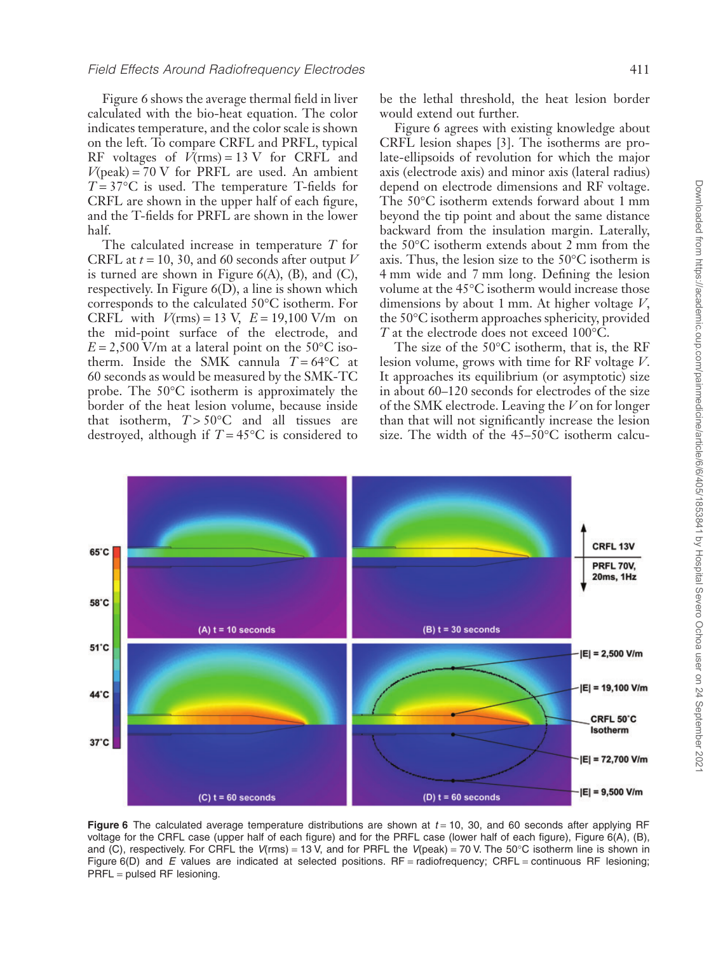Figure 6 shows the average thermal field in liver calculated with the bio-heat equation. The color indicates temperature, and the color scale is shown on the left. To compare CRFL and PRFL, typical RF voltages of  $V(rms) = 13 \text{ V}$  for CRFL and  $V$ (peak) = 70 V for PRFL are used. An ambient  $T = 37^{\circ}$ C is used. The temperature T-fields for CRFL are shown in the upper half of each figure, and the T-fields for PRFL are shown in the lower half.

The calculated increase in temperature *T* for CRFL at *t* = 10, 30, and 60 seconds after output *V* is turned are shown in Figure  $6(A)$ ,  $(B)$ , and  $(C)$ , respectively. In Figure 6(D), a line is shown which corresponds to the calculated 50°C isotherm. For CRFL with  $V(rms) = 13 \text{ V}$ ,  $E = 19,100 \text{ V/m}$  on the mid-point surface of the electrode, and  $E = 2,500$  V/m at a lateral point on the 50 $\degree$ C isotherm. Inside the SMK cannula  $T = 64^{\circ}$ C at 60 seconds as would be measured by the SMK-TC probe. The 50°C isotherm is approximately the border of the heat lesion volume, because inside that isotherm,  $T > 50^{\circ}$ C and all tissues are destroyed, although if  $T = 45^{\circ}$ C is considered to

be the lethal threshold, the heat lesion border would extend out further.

Figure 6 agrees with existing knowledge about CRFL lesion shapes [3]. The isotherms are prolate-ellipsoids of revolution for which the major axis (electrode axis) and minor axis (lateral radius) depend on electrode dimensions and RF voltage. The 50°C isotherm extends forward about 1 mm beyond the tip point and about the same distance backward from the insulation margin. Laterally, the 50°C isotherm extends about 2 mm from the axis. Thus, the lesion size to the 50°C isotherm is 4 mm wide and 7 mm long. Defining the lesion volume at the 45°C isotherm would increase those dimensions by about 1 mm. At higher voltage *V*, the 50°C isotherm approaches sphericity, provided *T* at the electrode does not exceed 100°C.

The size of the 50°C isotherm, that is, the RF lesion volume, grows with time for RF voltage *V*. It approaches its equilibrium (or asymptotic) size in about 60–120 seconds for electrodes of the size of the SMK electrode. Leaving the *V* on for longer than that will not significantly increase the lesion size. The width of the 45–50°C isotherm calcu-



**Figure 6** The calculated average temperature distributions are shown at  $t = 10$ , 30, and 60 seconds after applying RF voltage for the CRFL case (upper half of each figure) and for the PRFL case (lower half of each figure), Figure 6(A), (B), and (C), respectively. For CRFL the *V*(rms) = 13 V, and for PRFL the *V*(peak) = 70 V. The 50°C isotherm line is shown in Figure 6(D) and *E* values are indicated at selected positions. RF = radiofrequency; CRFL = continuous RF lesioning; PRFL = pulsed RF lesioning.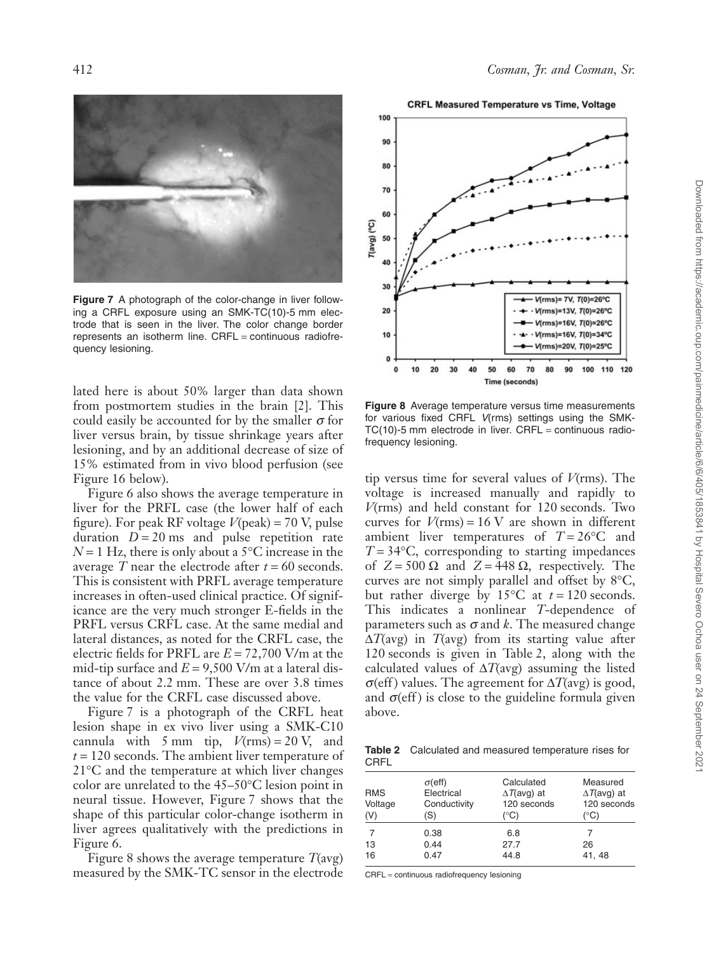

**Figure 7** A photograph of the color-change in liver following a CRFL exposure using an SMK-TC(10)-5 mm electrode that is seen in the liver. The color change border represents an isotherm line. CRFL = continuous radiofrequency lesioning.

lated here is about 50% larger than data shown from postmortem studies in the brain [2]. This could easily be accounted for by the smaller  $\sigma$  for liver versus brain, by tissue shrinkage years after lesioning, and by an additional decrease of size of 15% estimated from in vivo blood perfusion (see Figure 16 below).

Figure 6 also shows the average temperature in liver for the PRFL case (the lower half of each figure). For peak RF voltage  $V$ (peak) = 70 V, pulse duration  $D = 20$  ms and pulse repetition rate  $N = 1$  Hz, there is only about a 5 $\degree$ C increase in the average *T* near the electrode after  $t = 60$  seconds. This is consistent with PRFL average temperature increases in often-used clinical practice. Of significance are the very much stronger E-fields in the PRFL versus CRFL case. At the same medial and lateral distances, as noted for the CRFL case, the electric fields for PRFL are *E* = 72,700 V/m at the mid-tip surface and  $E = 9,500$  V/m at a lateral distance of about 2.2 mm. These are over 3.8 times the value for the CRFL case discussed above.

Figure 7 is a photograph of the CRFL heat lesion shape in ex vivo liver using a SMK-C10 cannula with 5 mm tip,  $V(rms) = 20 \text{ V}$ , and *t* = 120 seconds. The ambient liver temperature of 21°C and the temperature at which liver changes color are unrelated to the 45–50°C lesion point in neural tissue. However, Figure 7 shows that the shape of this particular color-change isotherm in liver agrees qualitatively with the predictions in Figure 6.

Figure 8 shows the average temperature *T*(avg) measured by the SMK-TC sensor in the electrode



**Figure 8** Average temperature versus time measurements for various fixed CRFL *V*(rms) settings using the SMK- $TC(10)-5$  mm electrode in liver.  $CRFL =$  continuous radiofrequency lesioning.

tip versus time for several values of *V*(rms). The voltage is increased manually and rapidly to *V*(rms) and held constant for 120 seconds. Two curves for  $V(rms) = 16$  V are shown in different ambient liver temperatures of  $T = 26^{\circ}$ C and  $T = 34$ °C, corresponding to starting impedances of *Z* = 500 Ω and *Z* = 448 Ω, respectively. The curves are not simply parallel and offset by 8°C, but rather diverge by 15 $\degree$ C at  $t = 120$  seconds. This indicates a nonlinear *T*-dependence of parameters such as  $\sigma$  and k. The measured change ∆*T*(avg) in *T*(avg) from its starting value after 120 seconds is given in Table 2, along with the calculated values of ∆*T*(avg) assuming the listed  $\sigma$ (eff) values. The agreement for  $\Delta T$ (avg) is good, and  $\sigma$ (eff) is close to the guideline formula given above.

**Table 2** Calculated and measured temperature rises for **CRFL** 

| <b>RMS</b><br>Voltage<br>(V) | $\sigma$ (eff)<br>Electrical<br>Conductivity<br>(S) | Calculated<br>$\Delta T(\text{avg})$ at<br>120 seconds<br>(°C) | Measured<br>$\Delta T(\text{avg})$ at<br>120 seconds<br>(°C) |
|------------------------------|-----------------------------------------------------|----------------------------------------------------------------|--------------------------------------------------------------|
| 13<br>16                     | 0.38<br>0.44<br>0.47                                | 6.8<br>27.7<br>44.8                                            | 26<br>41, 48                                                 |

CRFL = continuous radiofrequency lesioning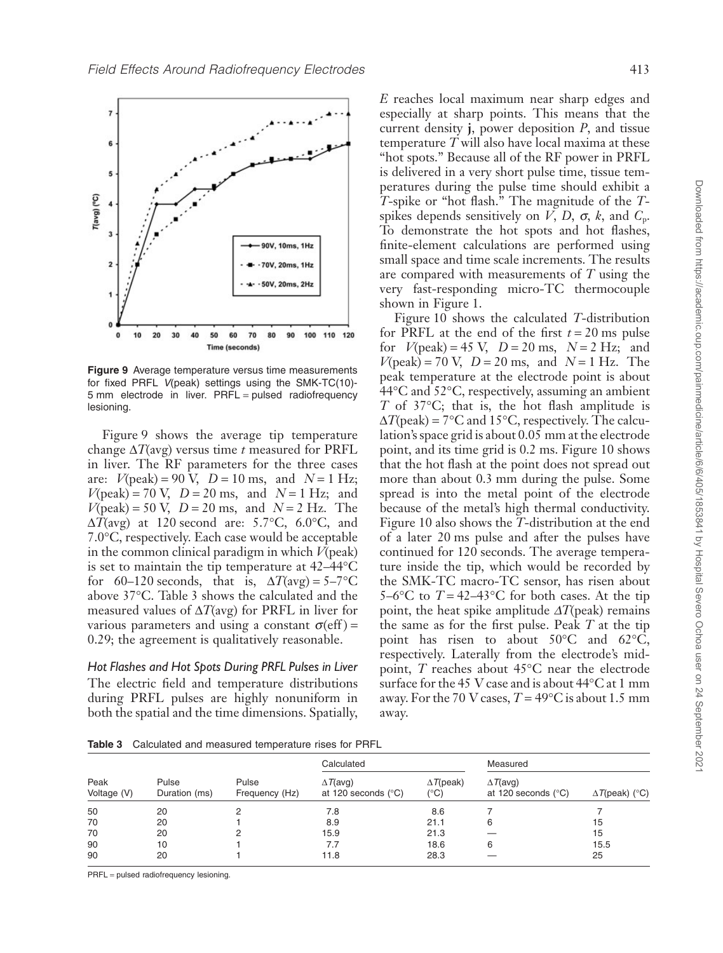

**Figure 9** Average temperature versus time measurements for fixed PRFL *V*(peak) settings using the SMK-TC(10)- 5 mm electrode in liver. PRFL = pulsed radiofrequency lesioning.

Figure 9 shows the average tip temperature change ∆*T*(avg) versus time *t* measured for PRFL in liver. The RF parameters for the three cases are:  $V(\text{peak}) = 90 \text{ V}, D = 10 \text{ ms}, \text{ and } N = 1 \text{ Hz};$  $V(\text{peak}) = 70 \text{ V}, D = 20 \text{ ms}, \text{ and } N = 1 \text{ Hz}; \text{ and}$  $V(\text{peak}) = 50 \text{ V}, D = 20 \text{ ms}, \text{ and } N = 2 \text{ Hz}.$  The ∆*T*(avg) at 120 second are: 5.7°C, 6.0°C, and 7.0°C, respectively. Each case would be acceptable in the common clinical paradigm in which *V*(peak) is set to maintain the tip temperature at 42–44°C for 60–120 seconds, that is,  $\Delta T(\text{avg}) = 5-7$ °C above 37°C. Table 3 shows the calculated and the measured values of ∆*T*(avg) for PRFL in liver for various parameters and using a constant  $\sigma(\text{eff}) =$ 0.29; the agreement is qualitatively reasonable.

*Hot Flashes and Hot Spots During PRFL Pulses in Liver* The electric field and temperature distributions during PRFL pulses are highly nonuniform in both the spatial and the time dimensions. Spatially,

*E* reaches local maximum near sharp edges and especially at sharp points. This means that the current density **j**, power deposition *P*, and tissue temperature *T* will also have local maxima at these "hot spots." Because all of the RF power in PRFL is delivered in a very short pulse time, tissue temperatures during the pulse time should exhibit a *T*-spike or "hot flash." The magnitude of the *T*spikes depends sensitively on *V*, *D*,  $\sigma$ , *k*, and  $C_p$ . To demonstrate the hot spots and hot flashes, finite-element calculations are performed using small space and time scale increments. The results are compared with measurements of *T* using the very fast-responding micro-TC thermocouple shown in Figure 1.

Figure 10 shows the calculated *T*-distribution for PRFL at the end of the first  $t = 20$  ms pulse for  $V(\text{peak}) = 45 \text{ V}$ ,  $D = 20 \text{ ms}$ ,  $N = 2 \text{ Hz}$ ; and  $V(\text{peak}) = 70 \text{ V}, D = 20 \text{ ms}, \text{ and } N = 1 \text{ Hz}.$  The peak temperature at the electrode point is about 44°C and 52°C, respectively, assuming an ambient *T* of 37°C; that is, the hot flash amplitude is  $\Delta T$ (peak) = 7°C and 15°C, respectively. The calculation's space grid is about 0.05 mm at the electrode point, and its time grid is 0.2 ms. Figure 10 shows that the hot flash at the point does not spread out more than about 0.3 mm during the pulse. Some spread is into the metal point of the electrode because of the metal's high thermal conductivity. Figure 10 also shows the *T*-distribution at the end of a later 20 ms pulse and after the pulses have continued for 120 seconds. The average temperature inside the tip, which would be recorded by the SMK-TC macro-TC sensor, has risen about 5–6 $\degree$ C to  $T = 42$ –43 $\degree$ C for both cases. At the tip point, the heat spike amplitude ∆*T*(peak) remains the same as for the first pulse. Peak *T* at the tip point has risen to about 50°C and 62°C, respectively. Laterally from the electrode's midpoint, *T* reaches about 45°C near the electrode surface for the 45 V case and is about 44°C at 1 mm away. For the 70 V cases,  $T = 49^{\circ}$ C is about 1.5 mm away.

**Table 3** Calculated and measured temperature rises for PRFL

| Peak<br>Voltage (V) | Pulse<br>Duration (ms) | Pulse<br>Frequency (Hz) | Calculated                                             |                           | Measured                                               |                        |
|---------------------|------------------------|-------------------------|--------------------------------------------------------|---------------------------|--------------------------------------------------------|------------------------|
|                     |                        |                         | $\Delta T(\text{avg})$<br>at 120 seconds $(^{\circ}C)$ | $\Delta T$ (peak)<br>(°C) | $\Delta T(\text{avg})$<br>at 120 seconds $(^{\circ}C)$ | $\Delta T$ (peak) (°C) |
| 50                  | 20                     |                         | 7.8                                                    | 8.6                       |                                                        |                        |
| 70                  | 20                     |                         | 8.9                                                    | 21.1                      | 6                                                      | 15                     |
| 70                  | 20                     |                         | 15.9                                                   | 21.3                      |                                                        | 15                     |
| 90                  | 10                     |                         | 7.7                                                    | 18.6                      | 6                                                      | 15.5                   |
| 90                  | 20                     |                         | 11.8                                                   | 28.3                      |                                                        | 25                     |

PRFL = pulsed radiofrequency lesioning.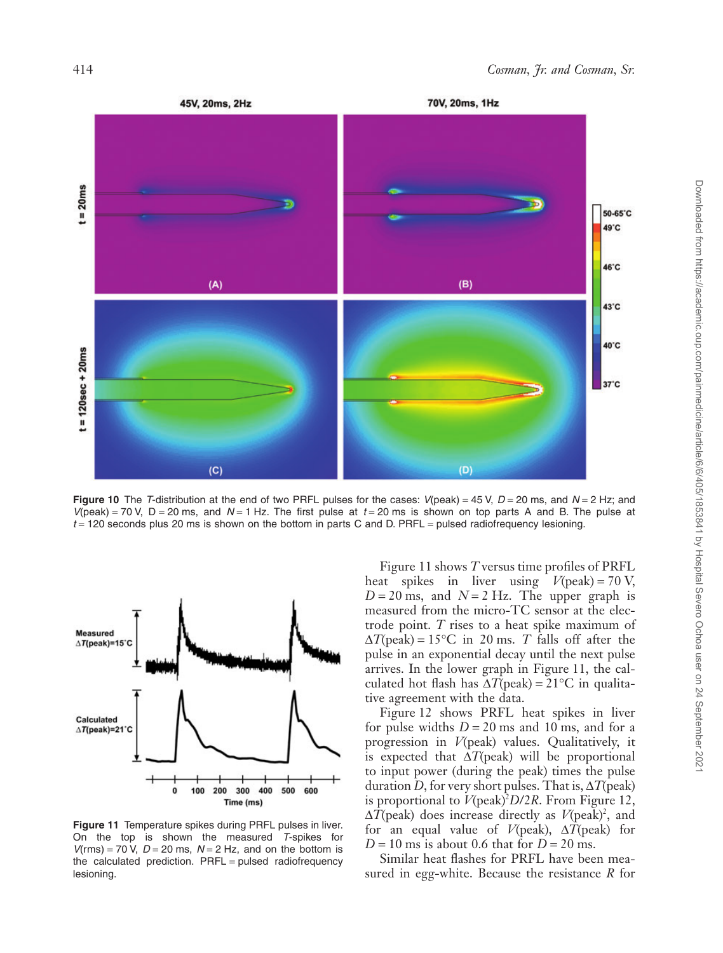

**Figure 10** The *T*-distribution at the end of two PRFL pulses for the cases: *V*(peak) = 45 V, *D* = 20 ms, and *N* = 2 Hz; and  $V$ (peak) = 70 V, D = 20 ms, and  $N = 1$  Hz. The first pulse at  $t = 20$  ms is shown on top parts A and B. The pulse at *t* = 120 seconds plus 20 ms is shown on the bottom in parts C and D. PRFL = pulsed radiofrequency lesioning.



**Figure 11** Temperature spikes during PRFL pulses in liver. On the top is shown the measured *T*-spikes for  $V(rms) = 70 V$ ,  $D = 20 ms$ ,  $N = 2 Hz$ , and on the bottom is the calculated prediction. PRFL = pulsed radiofrequency lesioning.

Figure 11 shows *T* versus time profiles of PRFL heat spikes in liver using  $V(\text{peak}) = 70 \text{ V}$ ,  $D = 20$  ms, and  $N = 2$  Hz. The upper graph is measured from the micro-TC sensor at the electrode point. *T* rises to a heat spike maximum of  $\Delta T$ (peak) = 15°C in 20 ms. *T* falls off after the pulse in an exponential decay until the next pulse arrives. In the lower graph in Figure 11, the calculated hot flash has  $\Delta T$ (peak) = 21°C in qualitative agreement with the data.

Figure 12 shows PRFL heat spikes in liver for pulse widths  $D = 20$  ms and 10 ms, and for a progression in *V*(peak) values. Qualitatively, it is expected that ∆*T*(peak) will be proportional to input power (during the peak) times the pulse duration *D*, for very short pulses. That is, ∆*T*(peak) is proportional to  $V$ (peak)<sup>2</sup>D/2R. From Figure 12, ∆*T*(peak) does increase directly as *V*(peak)<sup>2</sup>, and for an equal value of *V*(peak), ∆*T*(peak) for  $D = 10$  ms is about 0.6 that for  $D = 20$  ms.

Similar heat flashes for PRFL have been measured in egg-white. Because the resistance *R* for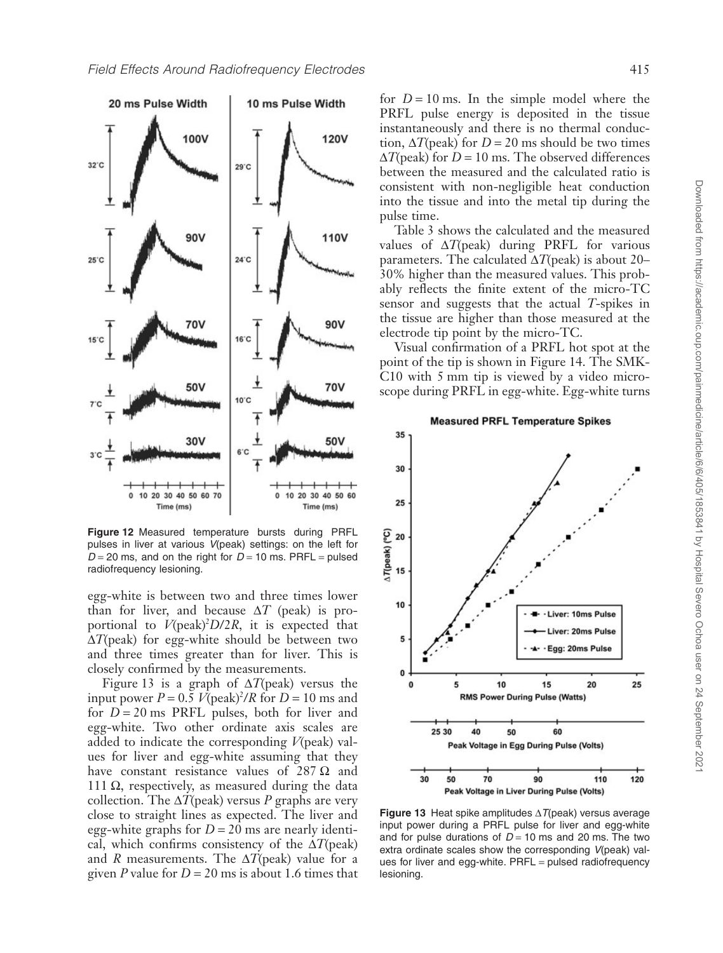

**Figure 12** Measured temperature bursts during PRFL pulses in liver at various *V*(peak) settings: on the left for  $D = 20$  ms, and on the right for  $D = 10$  ms. PRFL = pulsed radiofrequency lesioning.

egg-white is between two and three times lower than for liver, and because ∆*T* (peak) is proportional to  $V(\text{peak})^2D/2R$ , it is expected that ∆*T*(peak) for egg-white should be between two and three times greater than for liver. This is closely confirmed by the measurements.

Figure 13 is a graph of ∆*T*(peak) versus the input power  $P = 0.5$   $V(\text{peak})^2/R$  for  $D = 10$  ms and for  $D = 20$  ms PRFL pulses, both for liver and egg-white. Two other ordinate axis scales are added to indicate the corresponding *V*(peak) values for liver and egg-white assuming that they have constant resistance values of  $287 \Omega$  and 111 Ω, respectively, as measured during the data collection. The ∆*T*(peak) versus *P* graphs are very close to straight lines as expected. The liver and egg-white graphs for  $D = 20$  ms are nearly identical, which confirms consistency of the ∆*T*(peak) and *R* measurements. The  $\Delta T$ (peak) value for a given *P* value for  $D = 20$  ms is about 1.6 times that

for  $D = 10$  ms. In the simple model where the PRFL pulse energy is deposited in the tissue instantaneously and there is no thermal conduction,  $\Delta T$ (peak) for *D* = 20 ms should be two times  $\Delta T$ (peak) for *D* = 10 ms. The observed differences between the measured and the calculated ratio is consistent with non-negligible heat conduction into the tissue and into the metal tip during the pulse time.

Table 3 shows the calculated and the measured values of ∆*T*(peak) during PRFL for various parameters. The calculated ∆*T*(peak) is about 20– 30% higher than the measured values. This probably reflects the finite extent of the micro-TC sensor and suggests that the actual *T*-spikes in the tissue are higher than those measured at the electrode tip point by the micro-TC.

Visual confirmation of a PRFL hot spot at the point of the tip is shown in Figure 14. The SMK-C10 with 5 mm tip is viewed by a video microscope during PRFL in egg-white. Egg-white turns



**Figure 13** Heat spike amplitudes ∆*T*(peak) versus average input power during a PRFL pulse for liver and egg-white and for pulse durations of  $D = 10$  ms and 20 ms. The two extra ordinate scales show the corresponding *V*(peak) values for liver and egg-white. PRFL = pulsed radiofrequency lesioning.

Downloaded from https://academic.oup.com/painmedicine/article/6/6/405/1853841 by Hospital Severo Ochoa user on 24 September 2021

Downloaded from https://academic.oup.com/painmedicine/aficle/6/6/405/1853841 by Hospital Severo Ochoa user on 24 September 2021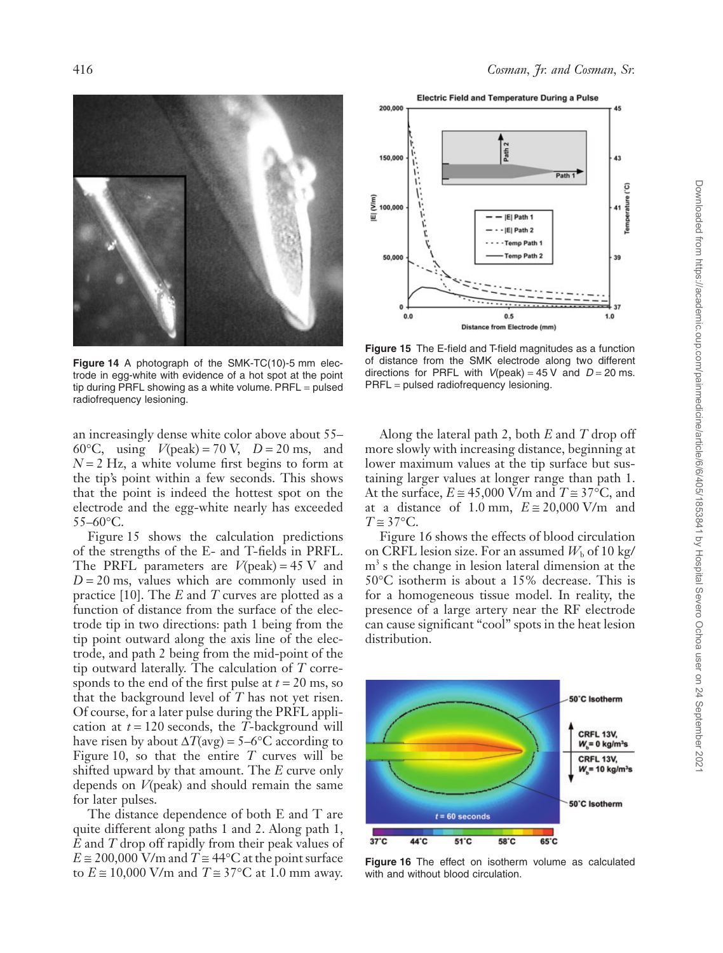

**Figure 14** A photograph of the SMK-TC(10)-5 mm electrode in egg-white with evidence of a hot spot at the point tip during PRFL showing as a white volume.  $P$ RFL = pulsed radiofrequency lesioning.

an increasingly dense white color above about 55– 60°C, using  $V(\text{peak}) = 70 \text{ V}$ ,  $D = 20 \text{ ms}$ , and  $N = 2$  Hz, a white volume first begins to form at the tip's point within a few seconds. This shows that the point is indeed the hottest spot on the electrode and the egg-white nearly has exceeded 55–60°C.

Figure 15 shows the calculation predictions of the strengths of the E- and T-fields in PRFL. The PRFL parameters are  $V(\text{peak}) = 45 \text{ V}$  and  $D = 20$  ms, values which are commonly used in practice [10]. The *E* and *T* curves are plotted as a function of distance from the surface of the electrode tip in two directions: path 1 being from the tip point outward along the axis line of the electrode, and path 2 being from the mid-point of the tip outward laterally. The calculation of *T* corresponds to the end of the first pulse at  $t = 20$  ms, so that the background level of *T* has not yet risen. Of course, for a later pulse during the PRFL application at  $t = 120$  seconds, the *T*-background will have risen by about  $\Delta T(\text{avg}) = 5 - 6$ °C according to Figure 10, so that the entire *T* curves will be shifted upward by that amount. The *E* curve only depends on *V*(peak) and should remain the same for later pulses.

The distance dependence of both E and T are quite different along paths 1 and 2. Along path 1, *E* and *T* drop off rapidly from their peak values of  $E \approx 200,000$  V/m and  $T \approx 44$ °C at the point surface to  $E \approx 10,000$  V/m and  $T \approx 37$ °C at 1.0 mm away.

416 *Cosman, Jr. and Cosman, Sr.*



**Figure 15** The E-field and T-field magnitudes as a function of distance from the SMK electrode along two different directions for PRFL with  $V(\text{peak}) = 45 \text{ V}$  and  $D = 20 \text{ ms}$ . PRFL = pulsed radiofrequency lesioning.

Along the lateral path 2, both *E* and *T* drop off more slowly with increasing distance, beginning at lower maximum values at the tip surface but sustaining larger values at longer range than path 1. At the surface,  $E \approx 45,000$  V/m and  $T \approx 37$ °C, and at a distance of 1.0 mm,  $E \approx 20,000$  V/m and  $T \approx 37^{\circ}$ C.

Figure 16 shows the effects of blood circulation on CRFL lesion size. For an assumed  $W<sub>b</sub>$  of 10 kg/ m<sup>3</sup> s the change in lesion lateral dimension at the 50°C isotherm is about a 15% decrease. This is for a homogeneous tissue model. In reality, the presence of a large artery near the RF electrode can cause significant "cool" spots in the heat lesion distribution.



**Figure 16** The effect on isotherm volume as calculated with and without blood circulation.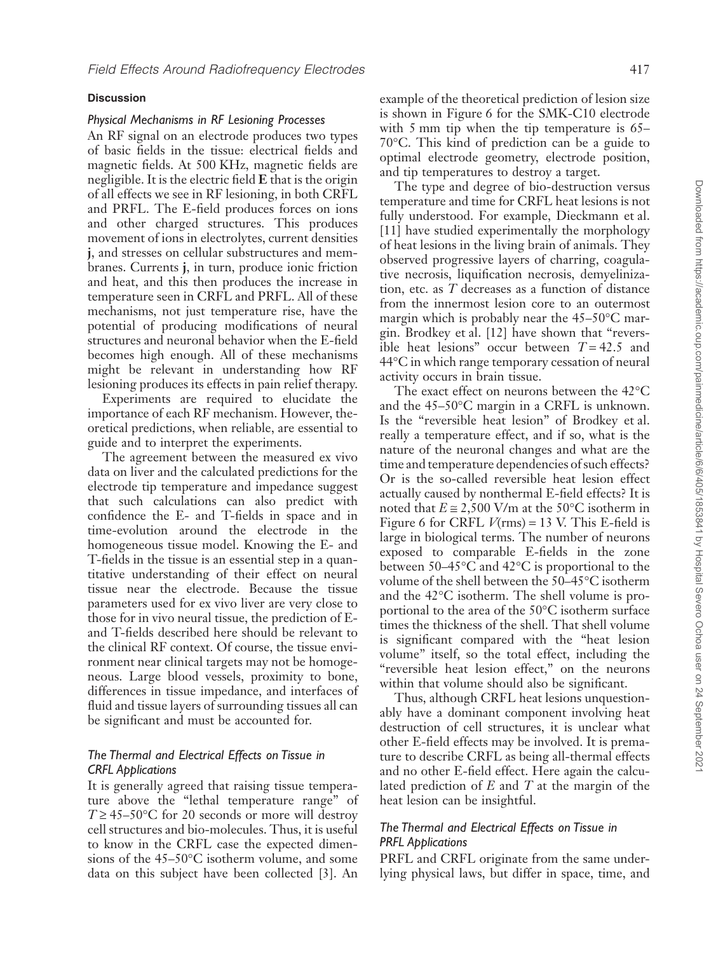#### **Discussion**

#### *Physical Mechanisms in RF Lesioning Processes*

An RF signal on an electrode produces two types of basic fields in the tissue: electrical fields and magnetic fields. At 500 KHz, magnetic fields are negligible. It is the electric field **E** that is the origin of all effects we see in RF lesioning, in both CRFL and PRFL. The E-field produces forces on ions and other charged structures. This produces movement of ions in electrolytes, current densities **j**, and stresses on cellular substructures and membranes. Currents **j**, in turn, produce ionic friction and heat, and this then produces the increase in temperature seen in CRFL and PRFL. All of these mechanisms, not just temperature rise, have the potential of producing modifications of neural structures and neuronal behavior when the E-field becomes high enough. All of these mechanisms might be relevant in understanding how RF lesioning produces its effects in pain relief therapy.

Experiments are required to elucidate the importance of each RF mechanism. However, theoretical predictions, when reliable, are essential to guide and to interpret the experiments.

The agreement between the measured ex vivo data on liver and the calculated predictions for the electrode tip temperature and impedance suggest that such calculations can also predict with confidence the E- and T-fields in space and in time-evolution around the electrode in the homogeneous tissue model. Knowing the E- and T-fields in the tissue is an essential step in a quantitative understanding of their effect on neural tissue near the electrode. Because the tissue parameters used for ex vivo liver are very close to those for in vivo neural tissue, the prediction of Eand T-fields described here should be relevant to the clinical RF context. Of course, the tissue environment near clinical targets may not be homogeneous. Large blood vessels, proximity to bone, differences in tissue impedance, and interfaces of fluid and tissue layers of surrounding tissues all can be significant and must be accounted for.

#### *The Thermal and Electrical Effects on Tissue in CRFL Applications*

It is generally agreed that raising tissue temperature above the "lethal temperature range" of  $T \geq 45-50^{\circ}$ C for 20 seconds or more will destroy cell structures and bio-molecules. Thus, it is useful to know in the CRFL case the expected dimensions of the 45–50°C isotherm volume, and some data on this subject have been collected [3]. An

example of the theoretical prediction of lesion size is shown in Figure 6 for the SMK-C10 electrode with 5 mm tip when the tip temperature is 65– 70°C. This kind of prediction can be a guide to optimal electrode geometry, electrode position, and tip temperatures to destroy a target.

The type and degree of bio-destruction versus temperature and time for CRFL heat lesions is not fully understood. For example, Dieckmann et al. [11] have studied experimentally the morphology of heat lesions in the living brain of animals. They observed progressive layers of charring, coagulative necrosis, liquification necrosis, demyelinization, etc. as *T* decreases as a function of distance from the innermost lesion core to an outermost margin which is probably near the 45–50°C margin. Brodkey et al. [12] have shown that "reversible heat lesions" occur between  $T = 42.5$  and 44°C in which range temporary cessation of neural activity occurs in brain tissue.

The exact effect on neurons between the 42°C and the 45–50°C margin in a CRFL is unknown. Is the "reversible heat lesion" of Brodkey et al. really a temperature effect, and if so, what is the nature of the neuronal changes and what are the time and temperature dependencies of such effects? Or is the so-called reversible heat lesion effect actually caused by nonthermal E-field effects? It is noted that  $E \approx 2,500$  V/m at the 50°C isotherm in Figure 6 for CRFL  $V(rms) = 13$  V. This E-field is large in biological terms. The number of neurons exposed to comparable E-fields in the zone between 50–45°C and 42°C is proportional to the volume of the shell between the 50–45°C isotherm and the 42°C isotherm. The shell volume is proportional to the area of the 50°C isotherm surface times the thickness of the shell. That shell volume is significant compared with the "heat lesion volume" itself, so the total effect, including the "reversible heat lesion effect," on the neurons within that volume should also be significant.

Thus, although CRFL heat lesions unquestionably have a dominant component involving heat destruction of cell structures, it is unclear what other E-field effects may be involved. It is premature to describe CRFL as being all-thermal effects and no other E-field effect. Here again the calculated prediction of *E* and *T* at the margin of the heat lesion can be insightful.

## *The Thermal and Electrical Effects on Tissue in PRFL Applications*

PRFL and CRFL originate from the same underlying physical laws, but differ in space, time, and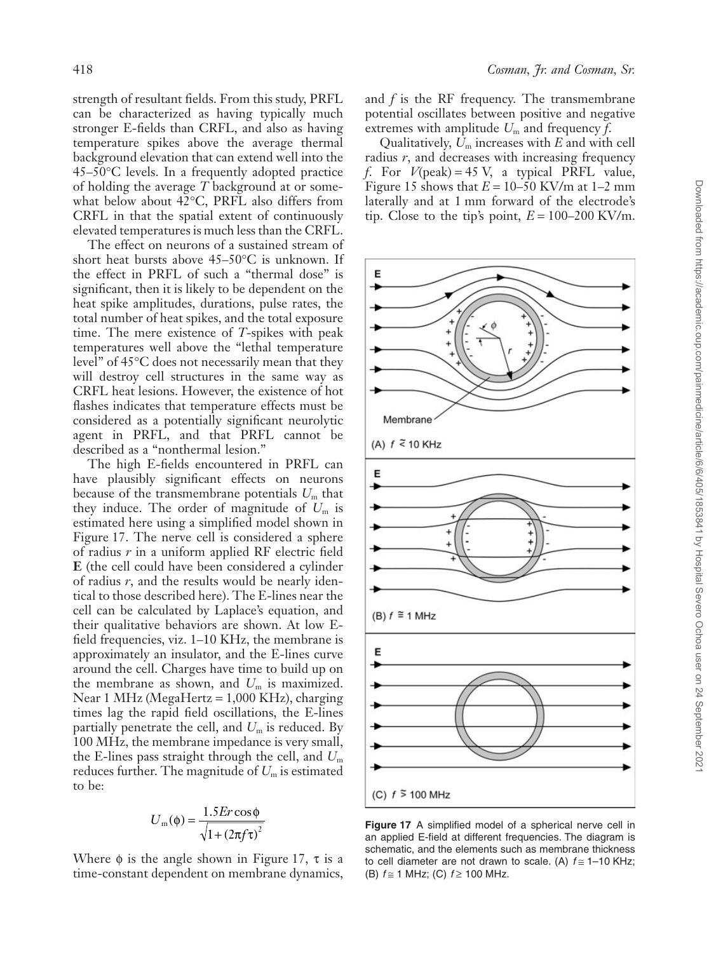strength of resultant fields. From this study, PRFL can be characterized as having typically much stronger E-fields than CRFL, and also as having temperature spikes above the average thermal background elevation that can extend well into the  $45-50^{\circ}$ C levels. In a frequently adopted practice of holding the average *T* background at or somewhat below about 42°C, PRFL also differs from CRFL in that the spatial extent of continuously elevated temperatures is much less than the CRFL.

The effect on neurons of a sustained stream of short heat bursts above 45–50°C is unknown. If the effect in PRFL of such a "thermal dose" is significant, then it is likely to be dependent on the heat spike amplitudes, durations, pulse rates, the total number of heat spikes, and the total exposure time. The mere existence of *T*-spikes with peak temperatures well above the "lethal temperature level" of 45°C does not necessarily mean that they will destroy cell structures in the same way as CRFL heat lesions. However, the existence of hot flashes indicates that temperature effects must be considered as a potentially significant neurolytic agent in PRFL, and that PRFL cannot be described as a "nonthermal lesion."

The high E-fields encountered in PRFL can have plausibly significant effects on neurons because of the transmembrane potentials *U*m that they induce. The order of magnitude of  $U_m$  is estimated here using a simplified model shown in Figure 17. The nerve cell is considered a sphere of radius *r* in a uniform applied RF electric field **E** (the cell could have been considered a cylinder of radius *r*, and the results would be nearly identical to those described here). The E-lines near the cell can be calculated by Laplace's equation, and their qualitative behaviors are shown. At low Efield frequencies, viz. 1–10 KHz, the membrane is approximately an insulator, and the E-lines curve around the cell. Charges have time to build up on the membrane as shown, and *U*<sup>m</sup> is maximized. Near 1 MHz (MegaHertz = 1,000 KHz), charging times lag the rapid field oscillations, the E-lines partially penetrate the cell, and *U*<sup>m</sup> is reduced. By 100 MHz, the membrane impedance is very small, the E-lines pass straight through the cell, and *U*<sup>m</sup> reduces further. The magnitude of  $U_m$  is estimated to be:

$$
U_{\rm m}(\phi) = \frac{1.5 E r \cos \phi}{\sqrt{1 + (2\pi f \tau)^2}}
$$

Where  $\phi$  is the angle shown in Figure 17,  $\tau$  is a time-constant dependent on membrane dynamics, and *f* is the RF frequency. The transmembrane potential oscillates between positive and negative extremes with amplitude  $U_m$  and frequency  $\hat{f}$ .

Qualitatively, *U*<sup>m</sup> increases with *E* and with cell radius *r*, and decreases with increasing frequency *f*. For  $V(\text{peak}) = 45 \text{ V}$ , a typical PRFL value, Figure 15 shows that  $E = 10-50$  KV/m at 1–2 mm laterally and at 1 mm forward of the electrode's tip. Close to the tip's point,  $E = 100-200$  KV/m.



**Figure 17** A simplified model of a spherical nerve cell in an applied E-field at different frequencies. The diagram is schematic, and the elements such as membrane thickness to cell diameter are not drawn to scale. (A)  $f \approx 1-10$  KHz; (B) *f* ≅ 1 MHz; (C) *f* ≥ 100 MHz.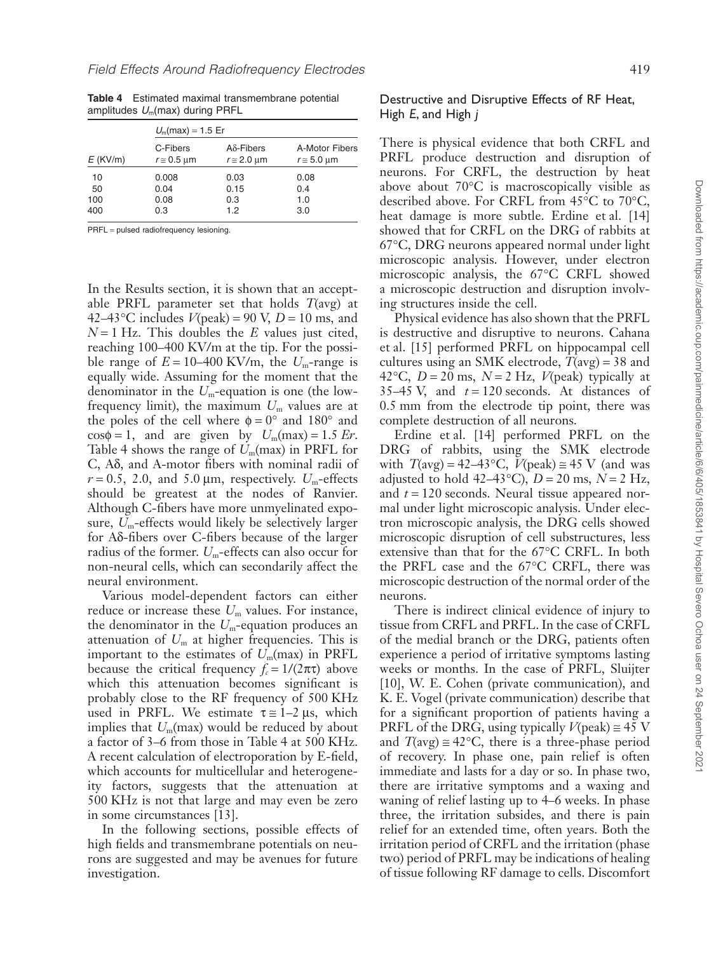| $E$ (KV/m) | $U_{\rm m}$ (max) = 1.5 Er     |                                                          |                                                       |  |
|------------|--------------------------------|----------------------------------------------------------|-------------------------------------------------------|--|
|            | C-Fibers<br>$r \approx 0.5$ um | $A\delta$ -Fibers<br>$r \approx 2.0 \text{ }\mu\text{m}$ | A-Motor Fibers<br>$r \approx 5.0 \text{ }\mu\text{m}$ |  |
| 10         | 0.008                          | 0.03                                                     | 0.08                                                  |  |
| 50         | 0.04                           | 0.15                                                     | 0.4                                                   |  |
| 100        | 0.08                           | 0.3                                                      | 1.0                                                   |  |
| 400        | 0.3                            | 1.2                                                      | 3.0                                                   |  |

**Table 4** Estimated maximal transmembrane potential amplitudes *U*m(max) during PRFL

PRFL = pulsed radiofrequency lesioning

In the Results section, it is shown that an acceptable PRFL parameter set that holds *T*(avg) at 42–43 $\degree$ C includes  $V$ (peak) = 90 V,  $D = 10$  ms, and  $N = 1$  Hz. This doubles the *E* values just cited, reaching 100–400 KV/m at the tip. For the possible range of  $E = 10-400$  KV/m, the  $U_m$ -range is equally wide. Assuming for the moment that the denominator in the *U*m-equation is one (the lowfrequency limit), the maximum  $U_m$  values are at the poles of the cell where  $\phi = 0^{\circ}$  and 180° and  $\cos\phi = 1$ , and are given by  $U_m(\text{max}) = 1.5$  *Er*. Table 4 shows the range of *U*m(max) in PRFL for C, Aδ, and A-motor fibers with nominal radii of  $r = 0.5$ , 2.0, and 5.0  $\mu$ m, respectively.  $U_m$ -effects should be greatest at the nodes of Ranvier. Although C-fibers have more unmyelinated exposure, *U*m-effects would likely be selectively larger for Aδ-fibers over C-fibers because of the larger radius of the former. *U*m-effects can also occur for non-neural cells, which can secondarily affect the neural environment.

Various model-dependent factors can either reduce or increase these  $U_m$  values. For instance, the denominator in the *U*m-equation produces an attenuation of *U*<sup>m</sup> at higher frequencies. This is important to the estimates of *U*m(max) in PRFL because the critical frequency  $f_c = 1/(2\pi\tau)$  above which this attenuation becomes significant is probably close to the RF frequency of 500 KHz used in PRFL. We estimate  $\tau \approx 1-2 \mu s$ , which implies that  $U_m$ (max) would be reduced by about a factor of 3–6 from those in Table 4 at 500 KHz. A recent calculation of electroporation by E-field, which accounts for multicellular and heterogeneity factors, suggests that the attenuation at 500 KHz is not that large and may even be zero in some circumstances [13].

In the following sections, possible effects of high fields and transmembrane potentials on neurons are suggested and may be avenues for future investigation.

## Destructive and Disruptive Effects of RF Heat, High *E*, and High *j*

There is physical evidence that both CRFL and PRFL produce destruction and disruption of neurons. For CRFL, the destruction by heat above about 70°C is macroscopically visible as described above. For CRFL from 45°C to 70°C, heat damage is more subtle. Erdine et al. [14] showed that for CRFL on the DRG of rabbits at 67°C, DRG neurons appeared normal under light microscopic analysis. However, under electron microscopic analysis, the 67°C CRFL showed a microscopic destruction and disruption involving structures inside the cell.

Physical evidence has also shown that the PRFL is destructive and disruptive to neurons. Cahana et al. [15] performed PRFL on hippocampal cell cultures using an SMK electrode,  $T(\text{avg}) = 38$  and 42 $\degree$ C,  $D = 20$  ms,  $N = 2$  Hz,  $V$ (peak) typically at 35–45 V, and  $t = 120$  seconds. At distances of 0.5 mm from the electrode tip point, there was complete destruction of all neurons.

Erdine et al. [14] performed PRFL on the DRG of rabbits, using the SMK electrode with  $T(\text{avg}) = 42-43$ °C,  $V(\text{peak}) \approx 45 \text{ V}$  (and was adjusted to hold  $42-43^{\circ}$ C),  $D = 20$  ms,  $N = 2$  Hz, and *t* = 120 seconds. Neural tissue appeared normal under light microscopic analysis. Under electron microscopic analysis, the DRG cells showed microscopic disruption of cell substructures, less extensive than that for the 67°C CRFL. In both the PRFL case and the 67°C CRFL, there was microscopic destruction of the normal order of the neurons.

There is indirect clinical evidence of injury to tissue from CRFL and PRFL. In the case of CRFL of the medial branch or the DRG, patients often experience a period of irritative symptoms lasting weeks or months. In the case of PRFL, Sluijter [10], W. E. Cohen (private communication), and K. E. Vogel (private communication) describe that for a significant proportion of patients having a PRFL of the DRG, using typically  $V$ (peak)  $\cong$  45 V and  $T(\text{avg}) \approx 42^{\circ}\text{C}$ , there is a three-phase period of recovery. In phase one, pain relief is often immediate and lasts for a day or so. In phase two, there are irritative symptoms and a waxing and waning of relief lasting up to 4–6 weeks. In phase three, the irritation subsides, and there is pain relief for an extended time, often years. Both the irritation period of CRFL and the irritation (phase two) period of PRFL may be indications of healing of tissue following RF damage to cells. Discomfort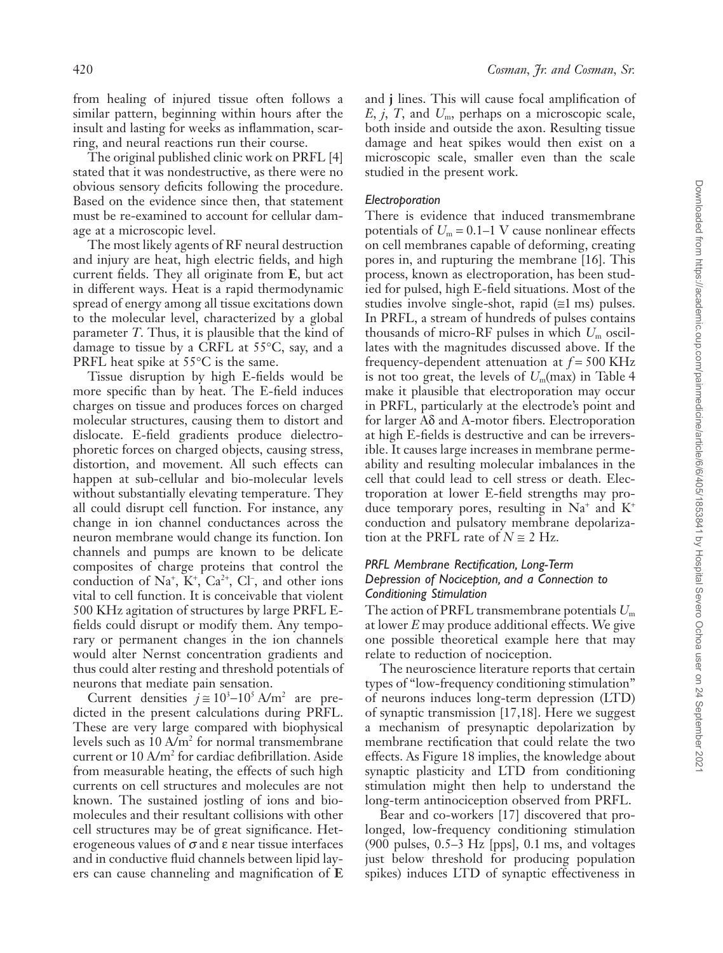from healing of injured tissue often follows a similar pattern, beginning within hours after the insult and lasting for weeks as inflammation, scarring, and neural reactions run their course.

The original published clinic work on PRFL [4] stated that it was nondestructive, as there were no obvious sensory deficits following the procedure. Based on the evidence since then, that statement must be re-examined to account for cellular damage at a microscopic level.

The most likely agents of RF neural destruction and injury are heat, high electric fields, and high current fields. They all originate from **E**, but act in different ways. Heat is a rapid thermodynamic spread of energy among all tissue excitations down to the molecular level, characterized by a global parameter *T*. Thus, it is plausible that the kind of damage to tissue by a CRFL at 55°C, say, and a PRFL heat spike at 55°C is the same.

Tissue disruption by high E-fields would be more specific than by heat. The E-field induces charges on tissue and produces forces on charged molecular structures, causing them to distort and dislocate. E-field gradients produce dielectrophoretic forces on charged objects, causing stress, distortion, and movement. All such effects can happen at sub-cellular and bio-molecular levels without substantially elevating temperature. They all could disrupt cell function. For instance, any change in ion channel conductances across the neuron membrane would change its function. Ion channels and pumps are known to be delicate composites of charge proteins that control the conduction of  $Na^+$ ,  $K^+$ ,  $Ca^{2+}$ ,  $Cl^-$ , and other ions vital to cell function. It is conceivable that violent 500 KHz agitation of structures by large PRFL Efields could disrupt or modify them. Any temporary or permanent changes in the ion channels would alter Nernst concentration gradients and thus could alter resting and threshold potentials of neurons that mediate pain sensation.

Current densities  $j \approx 10^3 - 10^5$  A/m<sup>2</sup> are predicted in the present calculations during PRFL. These are very large compared with biophysical levels such as  $10 \text{ A/m}^2$  for normal transmembrane current or  $10 \text{ A/m}^2$  for cardiac defibrillation. Aside from measurable heating, the effects of such high currents on cell structures and molecules are not known. The sustained jostling of ions and biomolecules and their resultant collisions with other cell structures may be of great significance. Heterogeneous values of  $\sigma$  and  $\varepsilon$  near tissue interfaces and in conductive fluid channels between lipid layers can cause channeling and magnification of **E**

and **j** lines. This will cause focal amplification of *E*, *j*, *T*, and *U*m, perhaps on a microscopic scale, both inside and outside the axon. Resulting tissue damage and heat spikes would then exist on a microscopic scale, smaller even than the scale studied in the present work.

#### *Electroporation*

There is evidence that induced transmembrane potentials of  $U_m = 0.1 - 1$  V cause nonlinear effects on cell membranes capable of deforming, creating pores in, and rupturing the membrane [16]. This process, known as electroporation, has been studied for pulsed, high E-field situations. Most of the studies involve single-shot, rapid  $(\leq 1 \text{ ms})$  pulses. In PRFL, a stream of hundreds of pulses contains thousands of micro-RF pulses in which  $U_m$  oscillates with the magnitudes discussed above. If the frequency-dependent attenuation at *f* = 500 KHz is not too great, the levels of  $U_m(\text{max})$  in Table 4 make it plausible that electroporation may occur in PRFL, particularly at the electrode's point and for larger Aδ and A-motor fibers. Electroporation at high E-fields is destructive and can be irreversible. It causes large increases in membrane permeability and resulting molecular imbalances in the cell that could lead to cell stress or death. Electroporation at lower E-field strengths may produce temporary pores, resulting in  $Na^+$  and  $K^+$ conduction and pulsatory membrane depolarization at the PRFL rate of  $N \approx 2$  Hz.

### *PRFL Membrane Rectification, Long-Term Depression of Nociception, and a Connection to Conditioning Stimulation*

The action of PRFL transmembrane potentials *U*<sup>m</sup> at lower *E* may produce additional effects. We give one possible theoretical example here that may relate to reduction of nociception.

The neuroscience literature reports that certain types of "low-frequency conditioning stimulation" of neurons induces long-term depression (LTD) of synaptic transmission [17,18]. Here we suggest a mechanism of presynaptic depolarization by membrane rectification that could relate the two effects. As Figure 18 implies, the knowledge about synaptic plasticity and LTD from conditioning stimulation might then help to understand the long-term antinociception observed from PRFL.

Bear and co-workers [17] discovered that prolonged, low-frequency conditioning stimulation  $(900 \text{ pulses}, 0.5-3 \text{ Hz}$  [pps], 0.1 ms, and voltages just below threshold for producing population spikes) induces LTD of synaptic effectiveness in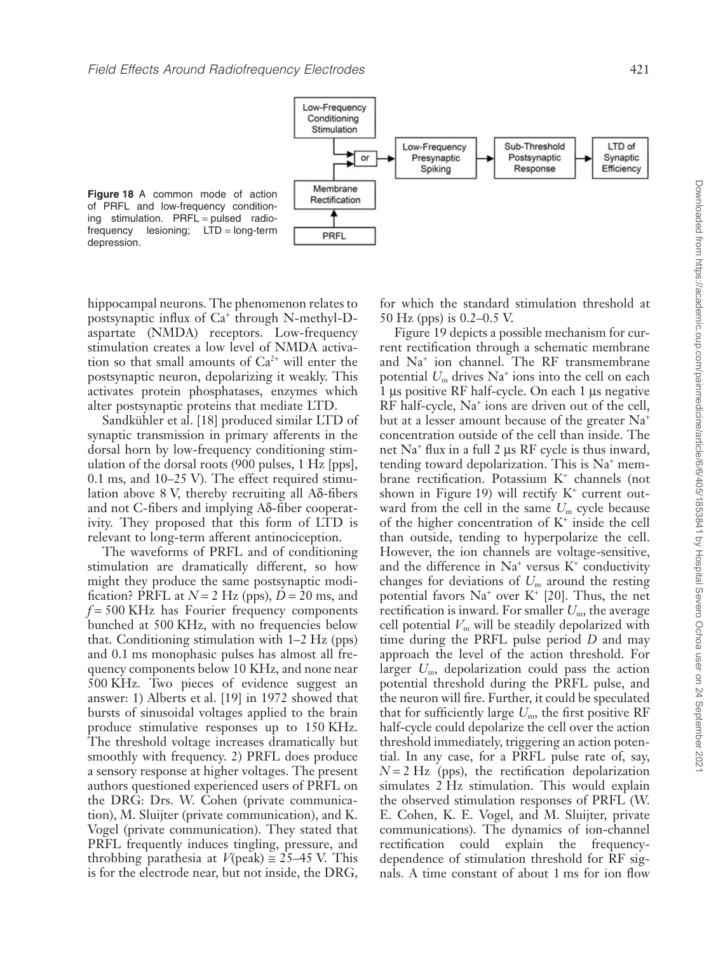

**Figure 18** A common mode of action of PRFL and low-frequency conditioning stimulation. PRFL = pulsed radiofrequency lesioning; LTD = long-term depression.

hippocampal neurons. The phenomenon relates to postsynaptic influx of  $Ca^+$  through N-methyl-Daspartate (NMDA) receptors. Low-frequency stimulation creates a low level of NMDA activation so that small amounts of  $Ca^{2+}$  will enter the postsynaptic neuron, depolarizing it weakly. This activates protein phosphatases, enzymes which alter postsynaptic proteins that mediate LTD.

Sandkühler et al. [18] produced similar LTD of synaptic transmission in primary afferents in the dorsal horn by low-frequency conditioning stimulation of the dorsal roots (900 pulses, 1 Hz [pps], 0.1 ms, and 10–25 V). The effect required stimulation above 8 V, thereby recruiting all Aδ-fibers and not C-fibers and implying Aδ-fiber cooperativity. They proposed that this form of LTD is relevant to long-term afferent antinociception.

The waveforms of PRFL and of conditioning stimulation are dramatically different, so how might they produce the same postsynaptic modification? PRFL at  $N = 2$  Hz (pps),  $D = 20$  ms, and *f* = 500 KHz has Fourier frequency components bunched at 500 KHz, with no frequencies below that. Conditioning stimulation with 1–2 Hz (pps) and 0.1 ms monophasic pulses has almost all frequency components below 10 KHz, and none near 500 KHz. Two pieces of evidence suggest an answer: 1) Alberts et al. [19] in 1972 showed that bursts of sinusoidal voltages applied to the brain produce stimulative responses up to 150 KHz. The threshold voltage increases dramatically but smoothly with frequency. 2) PRFL does produce a sensory response at higher voltages. The present authors questioned experienced users of PRFL on the DRG: Drs. W. Cohen (private communication), M. Sluijter (private communication), and K. Vogel (private communication). They stated that PRFL frequently induces tingling, pressure, and throbbing parathesia at  $V(\text{peak}) \approx 25-45 \text{ V}$ . This is for the electrode near, but not inside, the DRG,

for which the standard stimulation threshold at 50 Hz (pps) is 0.2–0.5 V.

Figure 19 depicts a possible mechanism for current rectification through a schematic membrane and Na<sup>+</sup> ion channel. The RF transmembrane potential  $U_m$  drives  $Na^+$  ions into the cell on each 1 µs positive RF half-cycle. On each 1 µs negative RF half-cycle,  $Na<sup>+</sup>$  ions are driven out of the cell, but at a lesser amount because of the greater  $Na<sup>+</sup>$ concentration outside of the cell than inside. The net  $Na<sup>+</sup>$  flux in a full 2 µs RF cycle is thus inward, tending toward depolarization. This is Na<sup>+</sup> membrane rectification. Potassium  $K^+$  channels (not shown in Figure 19) will rectify  $K^+$  current outward from the cell in the same  $U_m$  cycle because of the higher concentration of  $K^+$  inside the cell than outside, tending to hyperpolarize the cell. However, the ion channels are voltage-sensitive, and the difference in  $Na^+$  versus  $K^+$  conductivity changes for deviations of  $U_m$  around the resting potential favors  $Na^+$  over  $K^+$  [20]. Thus, the net rectification is inward. For smaller  $U_m$ , the average cell potential  $V_m$  will be steadily depolarized with time during the PRFL pulse period *D* and may approach the level of the action threshold. For larger  $U_m$ , depolarization could pass the action potential threshold during the PRFL pulse, and the neuron will fire. Further, it could be speculated that for sufficiently large  $U<sub>m</sub>$ , the first positive RF half-cycle could depolarize the cell over the action threshold immediately, triggering an action potential. In any case, for a PRFL pulse rate of, say,  $N = 2$  Hz (pps), the rectification depolarization simulates 2 Hz stimulation. This would explain the observed stimulation responses of PRFL (W. E. Cohen, K. E. Vogel, and M. Sluijter, private communications). The dynamics of ion-channel rectification could explain the frequencydependence of stimulation threshold for RF signals. A time constant of about 1 ms for ion flow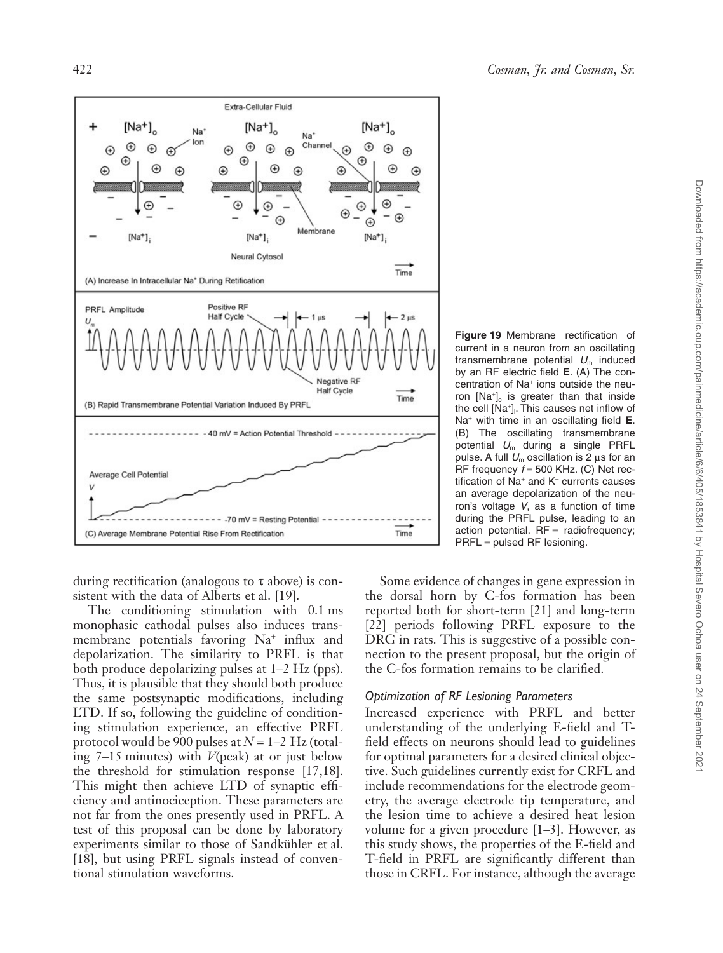

during rectification (analogous to τ above) is consistent with the data of Alberts et al. [19].

The conditioning stimulation with 0.1 ms monophasic cathodal pulses also induces transmembrane potentials favoring Na<sup>+</sup> influx and depolarization. The similarity to PRFL is that both produce depolarizing pulses at 1–2 Hz (pps). Thus, it is plausible that they should both produce the same postsynaptic modifications, including LTD. If so, following the guideline of conditioning stimulation experience, an effective PRFL protocol would be 900 pulses at *N* = 1–2 Hz (totaling 7–15 minutes) with *V*(peak) at or just below the threshold for stimulation response [17,18]. This might then achieve LTD of synaptic efficiency and antinociception. These parameters are not far from the ones presently used in PRFL. A test of this proposal can be done by laboratory experiments similar to those of Sandkühler et al. [18], but using PRFL signals instead of conventional stimulation waveforms.

**Figure 19** Membrane rectification of current in a neuron from an oscillating transmembrane potential *U*m induced by an RF electric field **E**. (A) The concentration of Na<sup>+</sup> ions outside the neuron [Na<sup>+</sup>]<sub>o</sub> is greater than that inside the cell [Na<sup>+</sup>]<sub>i</sub>. This causes net inflow of Na<sup>+</sup> with time in an oscillating field **E**. (B) The oscillating transmembrane potential *U*<sup>m</sup> during a single PRFL pulse. A full  $U_m$  oscillation is 2  $\mu$ s for an RF frequency *f* = 500 KHz. (C) Net rectification of  $Na<sup>+</sup>$  and  $K<sup>+</sup>$  currents causes an average depolarization of the neuron's voltage *V*, as a function of time during the PRFL pulse, leading to an action potential.  $RF =$  radiofrequency; PRFL = pulsed RF lesioning.

Some evidence of changes in gene expression in the dorsal horn by C-fos formation has been reported both for short-term [21] and long-term [22] periods following PRFL exposure to the DRG in rats. This is suggestive of a possible connection to the present proposal, but the origin of the C-fos formation remains to be clarified.

## *Optimization of RF Lesioning Parameters*

Increased experience with PRFL and better understanding of the underlying E-field and Tfield effects on neurons should lead to guidelines for optimal parameters for a desired clinical objective. Such guidelines currently exist for CRFL and include recommendations for the electrode geometry, the average electrode tip temperature, and the lesion time to achieve a desired heat lesion volume for a given procedure [1–3]. However, as this study shows, the properties of the E-field and T-field in PRFL are significantly different than those in CRFL. For instance, although the average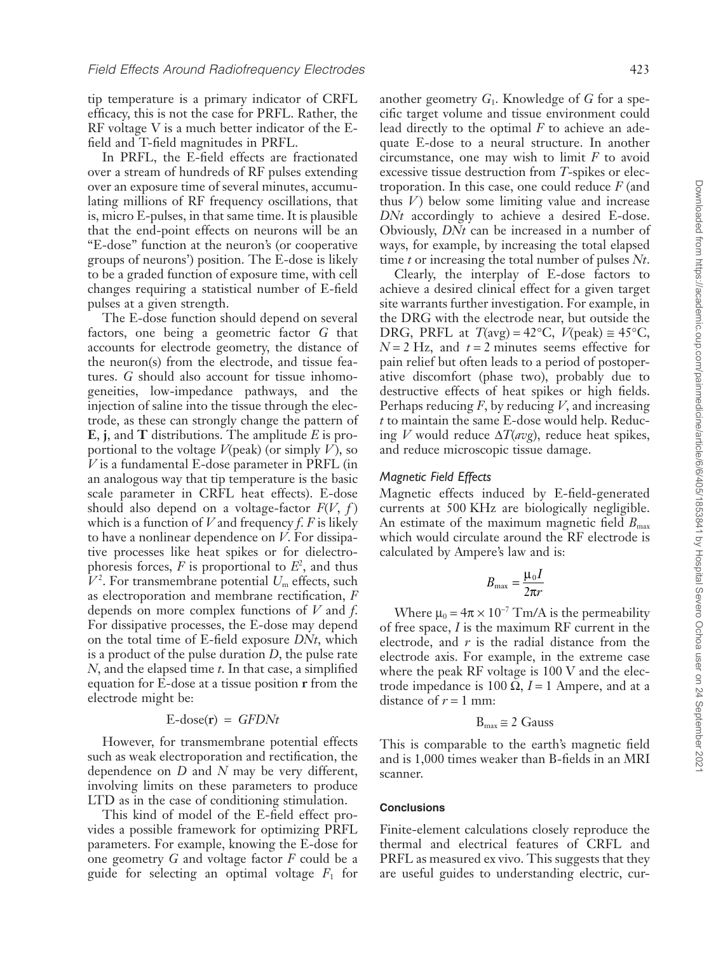tip temperature is a primary indicator of CRFL efficacy, this is not the case for PRFL. Rather, the RF voltage V is a much better indicator of the Efield and T-field magnitudes in PRFL.

In PRFL, the E-field effects are fractionated over a stream of hundreds of RF pulses extending over an exposure time of several minutes, accumulating millions of RF frequency oscillations, that is, micro E-pulses, in that same time. It is plausible that the end-point effects on neurons will be an "E-dose" function at the neuron's (or cooperative groups of neurons') position. The E-dose is likely to be a graded function of exposure time, with cell changes requiring a statistical number of E-field pulses at a given strength.

The E-dose function should depend on several factors, one being a geometric factor *G* that accounts for electrode geometry, the distance of the neuron(s) from the electrode, and tissue features. *G* should also account for tissue inhomogeneities, low-impedance pathways, and the injection of saline into the tissue through the electrode, as these can strongly change the pattern of **E**, **j**, and **T** distributions. The amplitude *E* is proportional to the voltage  $V$ (peak) (or simply  $V$ ), so *V* is a fundamental E-dose parameter in PRFL (in an analogous way that tip temperature is the basic scale parameter in CRFL heat effects). E-dose should also depend on a voltage-factor  $F(V, f)$ which is a function of *V* and frequency *f*. *F* is likely to have a nonlinear dependence on *V*. For dissipative processes like heat spikes or for dielectrophoresis forces,  $F$  is proportional to  $E^2$ , and thus *V*<sup>2</sup> . For transmembrane potential *U*<sup>m</sup> effects, such as electroporation and membrane rectification, *F* depends on more complex functions of *V* and *f*. For dissipative processes, the E-dose may depend on the total time of E-field exposure *DNt*, which is a product of the pulse duration *D*, the pulse rate *N*, and the elapsed time *t*. In that case, a simplified equation for E-dose at a tissue position **r** from the electrode might be:

$$
E\text{-dose}(r) = \text{GFDN}t
$$

However, for transmembrane potential effects such as weak electroporation and rectification, the dependence on *D* and *N* may be very different, involving limits on these parameters to produce LTD as in the case of conditioning stimulation.

This kind of model of the E-field effect provides a possible framework for optimizing PRFL parameters. For example, knowing the E-dose for one geometry *G* and voltage factor *F* could be a guide for selecting an optimal voltage  $F_1$  for another geometry *G*1. Knowledge of *G* for a specific target volume and tissue environment could lead directly to the optimal *F* to achieve an adequate E-dose to a neural structure. In another circumstance, one may wish to limit *F* to avoid excessive tissue destruction from *T*-spikes or electroporation. In this case, one could reduce *F* (and thus  $V$ ) below some limiting value and increase *DNt* accordingly to achieve a desired E-dose. Obviously, *DNt* can be increased in a number of ways, for example, by increasing the total elapsed time *t* or increasing the total number of pulses *Nt*.

Clearly, the interplay of E-dose factors to achieve a desired clinical effect for a given target site warrants further investigation. For example, in the DRG with the electrode near, but outside the DRG, PRFL at  $T(\text{avg}) = 42^{\circ}\text{C}$ ,  $V(\text{peak}) \approx 45^{\circ}\text{C}$ ,  $N = 2$  Hz, and  $t = 2$  minutes seems effective for pain relief but often leads to a period of postoperative discomfort (phase two), probably due to destructive effects of heat spikes or high fields. Perhaps reducing *F*, by reducing *V*, and increasing *t* to maintain the same E-dose would help. Reducing *V* would reduce ∆*T*(*avg*), reduce heat spikes, and reduce microscopic tissue damage.

#### *Magnetic Field Effects*

Magnetic effects induced by E-field-generated currents at 500 KHz are biologically negligible. An estimate of the maximum magnetic field  $B_{\text{max}}$ which would circulate around the RF electrode is calculated by Ampere's law and is:

$$
B_{\max} = \frac{\mu_0 I}{2\pi r}
$$

Where  $\mu_0 = 4\pi \times 10^{-7}$  Tm/A is the permeability of free space, *I* is the maximum RF current in the electrode, and *r* is the radial distance from the electrode axis. For example, in the extreme case where the peak RF voltage is 100 V and the electrode impedance is 100 Ω,  $I = 1$  Ampere, and at a distance of  $r = 1$  mm:

## $B_{max} \cong 2$  Gauss

This is comparable to the earth's magnetic field and is 1,000 times weaker than B-fields in an MRI scanner.

#### **Conclusions**

Finite-element calculations closely reproduce the thermal and electrical features of CRFL and PRFL as measured ex vivo. This suggests that they are useful guides to understanding electric, cur